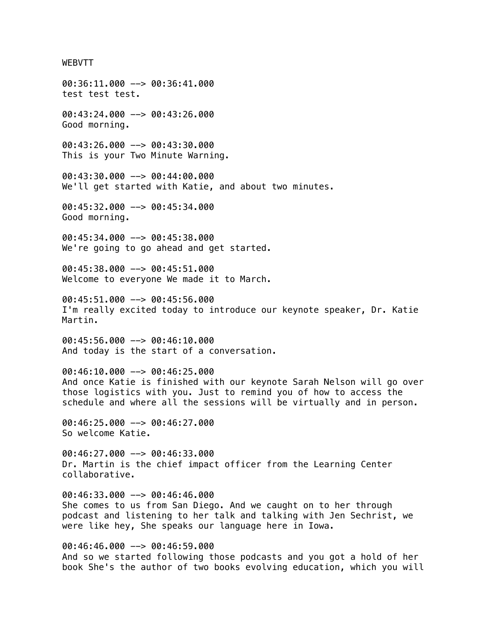### WEBVTT

00:36:11.000 --> 00:36:41.000 test test test. 00:43:24.000 --> 00:43:26.000 Good morning. 00:43:26.000 --> 00:43:30.000 This is your Two Minute Warning. 00:43:30.000 --> 00:44:00.000 We'll get started with Katie, and about two minutes. 00:45:32.000 --> 00:45:34.000 Good morning. 00:45:34.000 --> 00:45:38.000 We're going to go ahead and get started. 00:45:38.000 --> 00:45:51.000 Welcome to everyone We made it to March. 00:45:51.000 --> 00:45:56.000 I'm really excited today to introduce our keynote speaker, Dr. Katie Martin. 00:45:56.000 --> 00:46:10.000 And today is the start of a conversation. 00:46:10.000 --> 00:46:25.000 And once Katie is finished with our keynote Sarah Nelson will go over those logistics with you. Just to remind you of how to access the schedule and where all the sessions will be virtually and in person. 00:46:25.000 --> 00:46:27.000 So welcome Katie. 00:46:27.000 --> 00:46:33.000 Dr. Martin is the chief impact officer from the Learning Center collaborative. 00:46:33.000 --> 00:46:46.000 She comes to us from San Diego. And we caught on to her through podcast and listening to her talk and talking with Jen Sechrist, we were like hey, She speaks our language here in Iowa.

00:46:46.000 --> 00:46:59.000 And so we started following those podcasts and you got a hold of her book She's the author of two books evolving education, which you will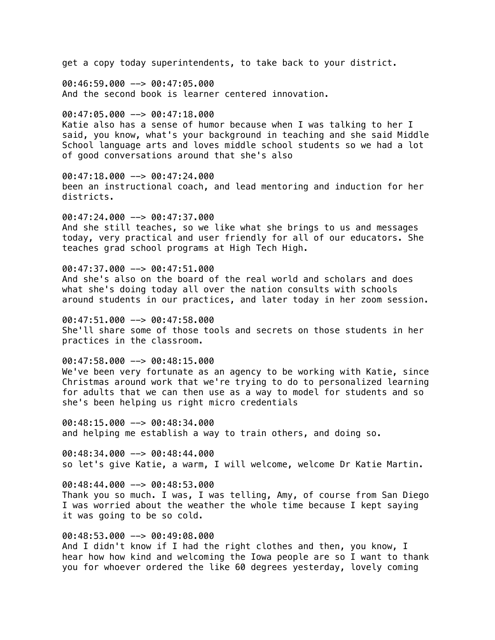get a copy today superintendents, to take back to your district.

 $00:46:59.000$  -->  $00:47:05.000$ And the second book is learner centered innovation.

 $00:47:05.000$  -->  $00:47:18.000$ 

Katie also has a sense of humor because when I was talking to her I said, you know, what's your background in teaching and she said Middle School language arts and loves middle school students so we had a lot of good conversations around that she's also

00:47:18.000 --> 00:47:24.000 been an instructional coach, and lead mentoring and induction for her districts.

00:47:24.000 --> 00:47:37.000 And she still teaches, so we like what she brings to us and messages today, very practical and user friendly for all of our educators. She teaches grad school programs at High Tech High.

 $00:47:37.000$  -->  $00:47:51.000$ 

And she's also on the board of the real world and scholars and does what she's doing today all over the nation consults with schools around students in our practices, and later today in her zoom session.

00:47:51.000 --> 00:47:58.000 She'll share some of those tools and secrets on those students in her practices in the classroom.

 $00:47:58.000$  -->  $00:48:15.000$ 

We've been very fortunate as an agency to be working with Katie, since Christmas around work that we're trying to do to personalized learning for adults that we can then use as a way to model for students and so she's been helping us right micro credentials

00:48:15.000 --> 00:48:34.000 and helping me establish a way to train others, and doing so.

00:48:34.000 --> 00:48:44.000 so let's give Katie, a warm, I will welcome, welcome Dr Katie Martin.

00:48:44.000 --> 00:48:53.000 Thank you so much. I was, I was telling, Amy, of course from San Diego I was worried about the weather the whole time because I kept saying it was going to be so cold.

00:48:53.000 --> 00:49:08.000

And I didn't know if I had the right clothes and then, you know, I hear how how kind and welcoming the Iowa people are so I want to thank you for whoever ordered the like 60 degrees yesterday, lovely coming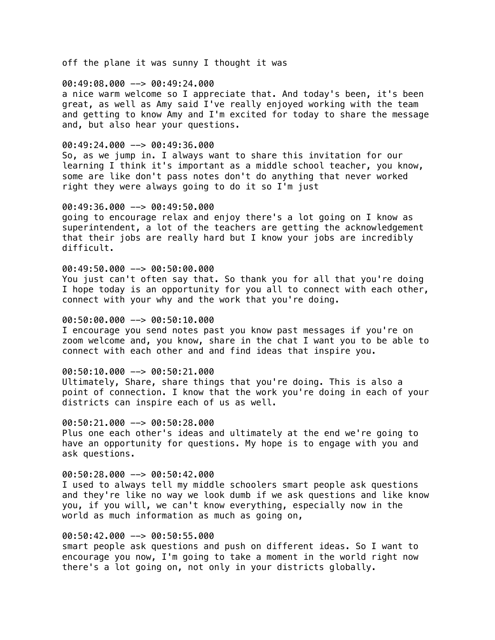off the plane it was sunny I thought it was

#### 00:49:08.000 --> 00:49:24.000

a nice warm welcome so I appreciate that. And today's been, it's been great, as well as Amy said I've really enjoyed working with the team and getting to know Amy and I'm excited for today to share the message and, but also hear your questions.

#### 00:49:24.000 --> 00:49:36.000

So, as we jump in. I always want to share this invitation for our learning I think it's important as a middle school teacher, you know, some are like don't pass notes don't do anything that never worked right they were always going to do it so I'm just

#### 00:49:36.000 --> 00:49:50.000

going to encourage relax and enjoy there's a lot going on I know as superintendent, a lot of the teachers are getting the acknowledgement that their jobs are really hard but I know your jobs are incredibly difficult.

# 00:49:50.000 --> 00:50:00.000

You just can't often say that. So thank you for all that you're doing I hope today is an opportunity for you all to connect with each other, connect with your why and the work that you're doing.

# 00:50:00.000 --> 00:50:10.000

I encourage you send notes past you know past messages if you're on zoom welcome and, you know, share in the chat I want you to be able to connect with each other and and find ideas that inspire you.

#### 00:50:10.000 --> 00:50:21.000

Ultimately, Share, share things that you're doing. This is also a point of connection. I know that the work you're doing in each of your districts can inspire each of us as well.

## 00:50:21.000 --> 00:50:28.000

Plus one each other's ideas and ultimately at the end we're going to have an opportunity for questions. My hope is to engage with you and ask questions.

#### 00:50:28.000 --> 00:50:42.000

I used to always tell my middle schoolers smart people ask questions and they're like no way we look dumb if we ask questions and like know you, if you will, we can't know everything, especially now in the world as much information as much as going on,

# 00:50:42.000 --> 00:50:55.000

smart people ask questions and push on different ideas. So I want to encourage you now, I'm going to take a moment in the world right now there's a lot going on, not only in your districts globally.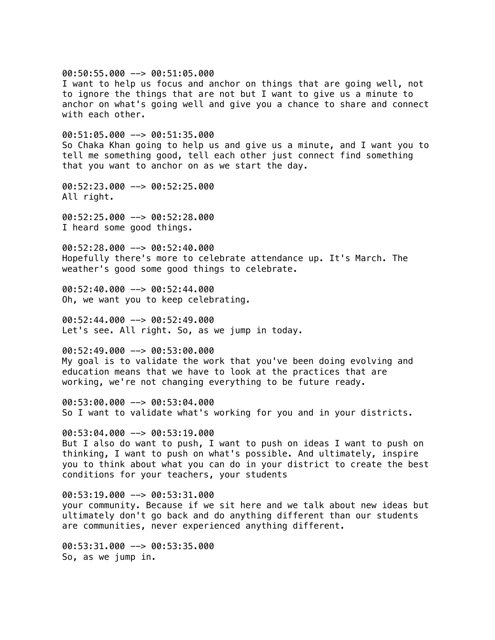00:50:55.000 --> 00:51:05.000 I want to help us focus and anchor on things that are going well, not to ignore the things that are not but I want to give us a minute to anchor on what's going well and give you a chance to share and connect with each other.  $00:51:05.000$  -->  $00:51:35.000$ So Chaka Khan going to help us and give us a minute, and I want you to tell me something good, tell each other just connect find something that you want to anchor on as we start the day. 00:52:23.000 --> 00:52:25.000 All right. 00:52:25.000 --> 00:52:28.000 I heard some good things. 00:52:28.000 --> 00:52:40.000 Hopefully there's more to celebrate attendance up. It's March. The weather's good some good things to celebrate. 00:52:40.000 --> 00:52:44.000 Oh, we want you to keep celebrating.  $00:52:44.000$  -->  $00:52:49.000$ Let's see. All right. So, as we jump in today. 00:52:49.000 --> 00:53:00.000 My goal is to validate the work that you've been doing evolving and education means that we have to look at the practices that are working, we're not changing everything to be future ready. 00:53:00.000 --> 00:53:04.000 So I want to validate what's working for you and in your districts.  $00:53:04.000$  -->  $00:53:19.000$ But I also do want to push, I want to push on ideas I want to push on thinking, I want to push on what's possible. And ultimately, inspire you to think about what you can do in your district to create the best conditions for your teachers, your students  $00:53:19.000$  -->  $00:53:31.000$ your community. Because if we sit here and we talk about new ideas but ultimately don't go back and do anything different than our students are communities, never experienced anything different. 00:53:31.000 --> 00:53:35.000

So, as we jump in.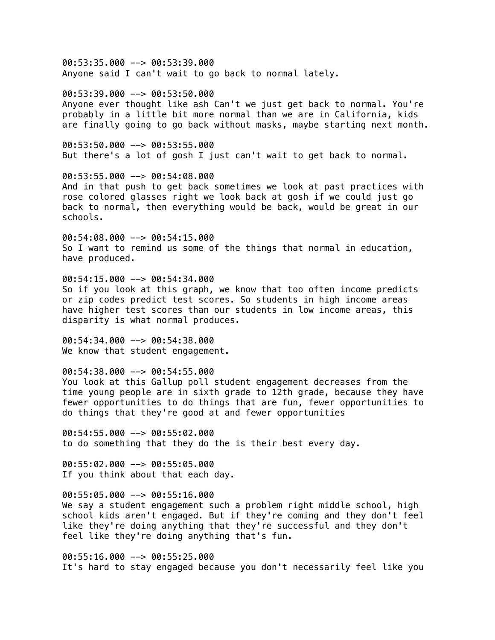00:53:35.000 --> 00:53:39.000 Anyone said I can't wait to go back to normal lately.

00:53:39.000 --> 00:53:50.000 Anyone ever thought like ash Can't we just get back to normal. You're probably in a little bit more normal than we are in California, kids are finally going to go back without masks, maybe starting next month.

00:53:50.000 --> 00:53:55.000 But there's a lot of gosh I just can't wait to get back to normal.

00:53:55.000 --> 00:54:08.000 And in that push to get back sometimes we look at past practices with rose colored glasses right we look back at gosh if we could just go back to normal, then everything would be back, would be great in our schools.

00:54:08.000 --> 00:54:15.000 So I want to remind us some of the things that normal in education, have produced.

00:54:15.000 --> 00:54:34.000 So if you look at this graph, we know that too often income predicts or zip codes predict test scores. So students in high income areas have higher test scores than our students in low income areas, this disparity is what normal produces.

00:54:34.000 --> 00:54:38.000 We know that student engagement.

00:54:38.000 --> 00:54:55.000 You look at this Gallup poll student engagement decreases from the time young people are in sixth grade to 12th grade, because they have fewer opportunities to do things that are fun, fewer opportunities to do things that they're good at and fewer opportunities

 $00:54:55.000$  -->  $00:55:02.000$ to do something that they do the is their best every day.

00:55:02.000 --> 00:55:05.000 If you think about that each day.

00:55:05.000 --> 00:55:16.000 We say a student engagement such a problem right middle school, high school kids aren't engaged. But if they're coming and they don't feel like they're doing anything that they're successful and they don't feel like they're doing anything that's fun.

00:55:16.000 --> 00:55:25.000 It's hard to stay engaged because you don't necessarily feel like you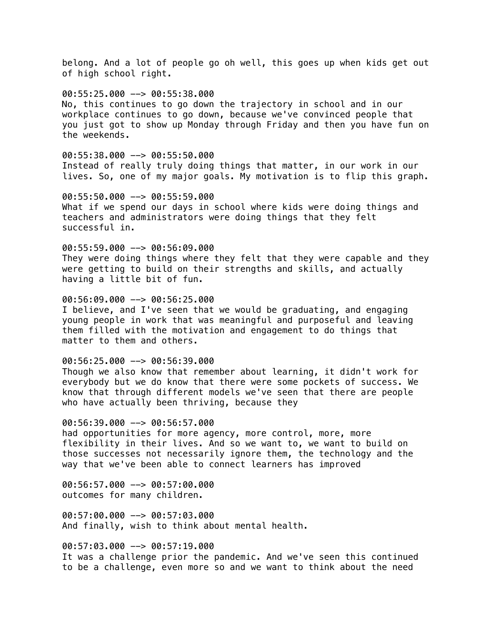belong. And a lot of people go oh well, this goes up when kids get out of high school right.

00:55:25.000 --> 00:55:38.000 No, this continues to go down the trajectory in school and in our workplace continues to go down, because we've convinced people that you just got to show up Monday through Friday and then you have fun on the weekends.

00:55:38.000 --> 00:55:50.000 Instead of really truly doing things that matter, in our work in our lives. So, one of my major goals. My motivation is to flip this graph.

00:55:50.000 --> 00:55:59.000 What if we spend our days in school where kids were doing things and teachers and administrators were doing things that they felt successful in.

00:55:59.000 --> 00:56:09.000 They were doing things where they felt that they were capable and they were getting to build on their strengths and skills, and actually having a little bit of fun.

00:56:09.000 --> 00:56:25.000 I believe, and I've seen that we would be graduating, and engaging young people in work that was meaningful and purposeful and leaving them filled with the motivation and engagement to do things that matter to them and others.

 $00:56:25.000$  -->  $00:56:39.000$ Though we also know that remember about learning, it didn't work for everybody but we do know that there were some pockets of success. We know that through different models we've seen that there are people who have actually been thriving, because they

00:56:39.000 --> 00:56:57.000 had opportunities for more agency, more control, more, more flexibility in their lives. And so we want to, we want to build on those successes not necessarily ignore them, the technology and the way that we've been able to connect learners has improved

00:56:57.000 --> 00:57:00.000 outcomes for many children.

00:57:00.000 --> 00:57:03.000 And finally, wish to think about mental health.

00:57:03.000 --> 00:57:19.000 It was a challenge prior the pandemic. And we've seen this continued to be a challenge, even more so and we want to think about the need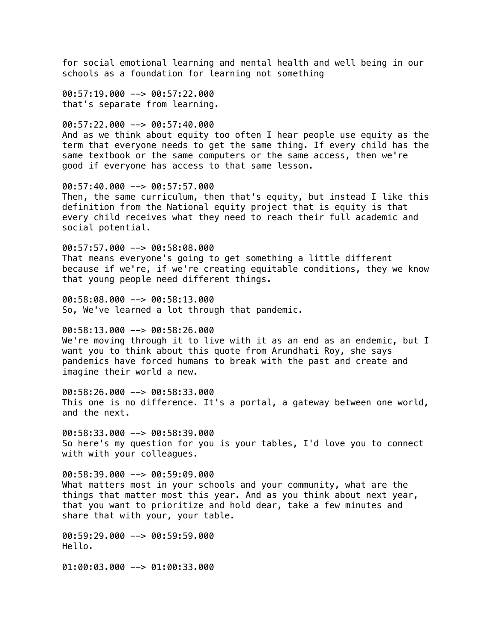for social emotional learning and mental health and well being in our schools as a foundation for learning not something

00:57:19.000 --> 00:57:22.000 that's separate from learning.

00:57:22.000 --> 00:57:40.000 And as we think about equity too often I hear people use equity as the term that everyone needs to get the same thing. If every child has the same textbook or the same computers or the same access, then we're good if everyone has access to that same lesson.

00:57:40.000 --> 00:57:57.000 Then, the same curriculum, then that's equity, but instead I like this definition from the National equity project that is equity is that every child receives what they need to reach their full academic and social potential.

00:57:57.000 --> 00:58:08.000 That means everyone's going to get something a little different because if we're, if we're creating equitable conditions, they we know that young people need different things.

00:58:08.000 --> 00:58:13.000 So, We've learned a lot through that pandemic.

00:58:13.000 --> 00:58:26.000 We're moving through it to live with it as an end as an endemic, but I want you to think about this quote from Arundhati Roy, she says pandemics have forced humans to break with the past and create and imagine their world a new.

00:58:26.000 --> 00:58:33.000 This one is no difference. It's a portal, a gateway between one world, and the next.

 $00:58:33.000$  -->  $00:58:39.000$ So here's my question for you is your tables, I'd love you to connect with with your colleagues.

00:58:39.000 --> 00:59:09.000 What matters most in your schools and your community, what are the things that matter most this year. And as you think about next year, that you want to prioritize and hold dear, take a few minutes and share that with your, your table.

00:59:29.000 --> 00:59:59.000 Hello.

01:00:03.000 --> 01:00:33.000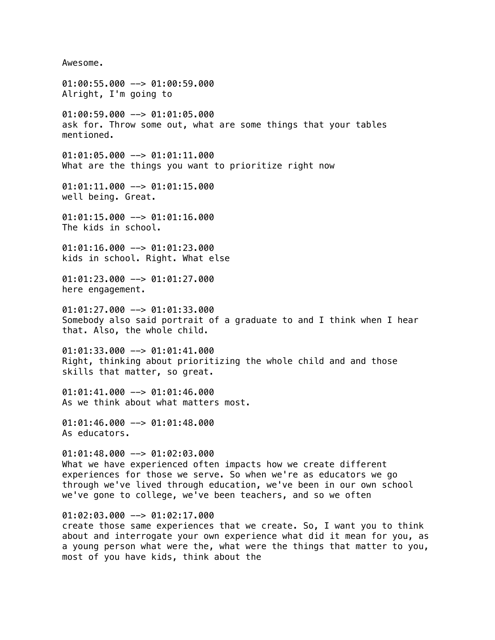Awesome. 01:00:55.000 --> 01:00:59.000 Alright, I'm going to 01:00:59.000 --> 01:01:05.000 ask for. Throw some out, what are some things that your tables mentioned. 01:01:05.000 --> 01:01:11.000 What are the things you want to prioritize right now 01:01:11.000 --> 01:01:15.000 well being. Great. 01:01:15.000 --> 01:01:16.000 The kids in school. 01:01:16.000 --> 01:01:23.000 kids in school. Right. What else 01:01:23.000 --> 01:01:27.000 here engagement.  $01:01:27.000$  -->  $01:01:33.000$ Somebody also said portrait of a graduate to and I think when I hear that. Also, the whole child. 01:01:33.000 --> 01:01:41.000 Right, thinking about prioritizing the whole child and and those skills that matter, so great.  $01:01:41.000$  -->  $01:01:46.000$ As we think about what matters most.  $01:01:46.000$  -->  $01:01:48.000$ As educators.  $01:01:48.000$  -->  $01:02:03.000$ What we have experienced often impacts how we create different experiences for those we serve. So when we're as educators we go through we've lived through education, we've been in our own school we've gone to college, we've been teachers, and so we often  $01:02:03.000$  -->  $01:02:17.000$ create those same experiences that we create. So, I want you to think about and interrogate your own experience what did it mean for you, as a young person what were the, what were the things that matter to you,

most of you have kids, think about the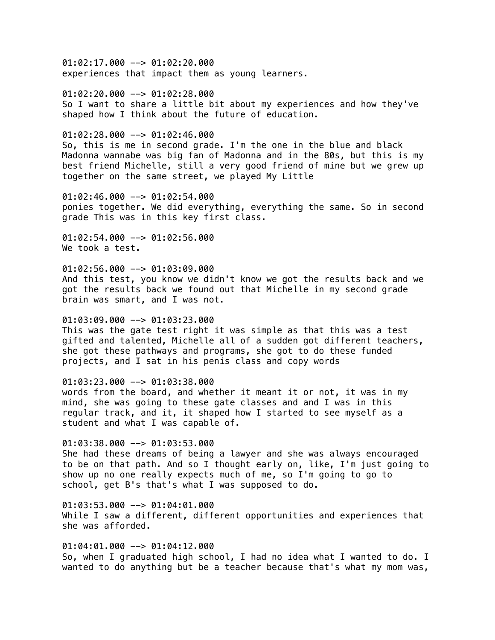01:02:17.000 --> 01:02:20.000 experiences that impact them as young learners.

 $01:02:20.000$  -->  $01:02:28.000$ So I want to share a little bit about my experiences and how they've shaped how I think about the future of education.

 $01:02:28.000$  -->  $01:02:46.000$ 

So, this is me in second grade. I'm the one in the blue and black Madonna wannabe was big fan of Madonna and in the 80s, but this is my best friend Michelle, still a very good friend of mine but we grew up together on the same street, we played My Little

01:02:46.000 --> 01:02:54.000 ponies together. We did everything, everything the same. So in second grade This was in this key first class.

01:02:54.000 --> 01:02:56.000 We took a test.

 $01:02:56.000$  -->  $01:03:09.000$ And this test, you know we didn't know we got the results back and we got the results back we found out that Michelle in my second grade brain was smart, and I was not.

# 01:03:09.000 --> 01:03:23.000

This was the gate test right it was simple as that this was a test gifted and talented, Michelle all of a sudden got different teachers, she got these pathways and programs, she got to do these funded projects, and I sat in his penis class and copy words

# 01:03:23.000 --> 01:03:38.000

words from the board, and whether it meant it or not, it was in my mind, she was going to these gate classes and and I was in this regular track, and it, it shaped how I started to see myself as a student and what I was capable of.

# 01:03:38.000 --> 01:03:53.000

She had these dreams of being a lawyer and she was always encouraged to be on that path. And so I thought early on, like, I'm just going to show up no one really expects much of me, so I'm going to go to school, get B's that's what I was supposed to do.

01:03:53.000 --> 01:04:01.000 While I saw a different, different opportunities and experiences that she was afforded.

01:04:01.000 --> 01:04:12.000 So, when I graduated high school, I had no idea what I wanted to do. I wanted to do anything but be a teacher because that's what my mom was,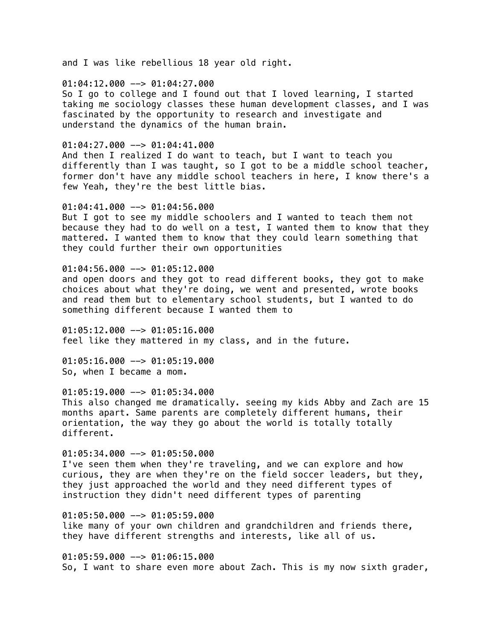and I was like rebellious 18 year old right.

### $01:04:12.000$  -->  $01:04:27.000$

So I go to college and I found out that I loved learning, I started taking me sociology classes these human development classes, and I was fascinated by the opportunity to research and investigate and understand the dynamics of the human brain.

### $01:04:27.000$  -->  $01:04:41.000$

And then I realized I do want to teach, but I want to teach you differently than I was taught, so I got to be a middle school teacher, former don't have any middle school teachers in here, I know there's a few Yeah, they're the best little bias.

#### 01:04:41.000 --> 01:04:56.000

But I got to see my middle schoolers and I wanted to teach them not because they had to do well on a test, I wanted them to know that they mattered. I wanted them to know that they could learn something that they could further their own opportunities

# $01:04:56.000$  -->  $01:05:12.000$

and open doors and they got to read different books, they got to make choices about what they're doing, we went and presented, wrote books and read them but to elementary school students, but I wanted to do something different because I wanted them to

 $01:05:12.000$  -->  $01:05:16.000$ feel like they mattered in my class, and in the future.

 $01:05:16.000$  -->  $01:05:19.000$ So, when I became a mom.

## $01:05:19.000$  -->  $01:05:34.000$

This also changed me dramatically. seeing my kids Abby and Zach are 15 months apart. Same parents are completely different humans, their orientation, the way they go about the world is totally totally different.

# $01:05:34.000$  -->  $01:05:50.000$

I've seen them when they're traveling, and we can explore and how curious, they are when they're on the field soccer leaders, but they, they just approached the world and they need different types of instruction they didn't need different types of parenting

01:05:50.000 --> 01:05:59.000 like many of your own children and grandchildren and friends there, they have different strengths and interests, like all of us.

01:05:59.000 --> 01:06:15.000 So, I want to share even more about Zach. This is my now sixth grader,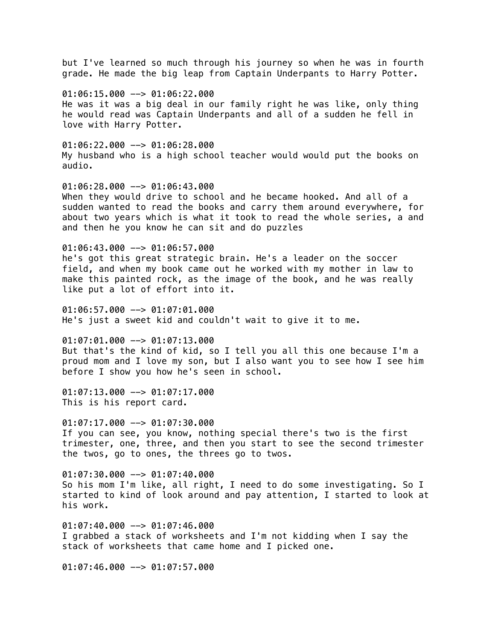but I've learned so much through his journey so when he was in fourth grade. He made the big leap from Captain Underpants to Harry Potter.

 $01:06:15.000$  -->  $01:06:22.000$ He was it was a big deal in our family right he was like, only thing he would read was Captain Underpants and all of a sudden he fell in love with Harry Potter.

01:06:22.000 --> 01:06:28.000 My husband who is a high school teacher would would put the books on audio.

01:06:28.000 --> 01:06:43.000 When they would drive to school and he became hooked. And all of a sudden wanted to read the books and carry them around everywhere, for about two years which is what it took to read the whole series, a and and then he you know he can sit and do puzzles

01:06:43.000 --> 01:06:57.000 he's got this great strategic brain. He's a leader on the soccer field, and when my book came out he worked with my mother in law to make this painted rock, as the image of the book, and he was really like put a lot of effort into it.

 $01:06:57.000$   $\rightarrow$  01:07:01.000 He's just a sweet kid and couldn't wait to give it to me.

01:07:01.000 --> 01:07:13.000 But that's the kind of kid, so I tell you all this one because I'm a proud mom and I love my son, but I also want you to see how I see him before I show you how he's seen in school.

 $01:07:13.000$  -->  $01:07:17.000$ This is his report card.

01:07:17.000 --> 01:07:30.000 If you can see, you know, nothing special there's two is the first trimester, one, three, and then you start to see the second trimester the twos, go to ones, the threes go to twos.

01:07:30.000 --> 01:07:40.000 So his mom I'm like, all right, I need to do some investigating. So I started to kind of look around and pay attention, I started to look at his work.

01:07:40.000 --> 01:07:46.000 I grabbed a stack of worksheets and I'm not kidding when I say the stack of worksheets that came home and I picked one.

01:07:46.000 --> 01:07:57.000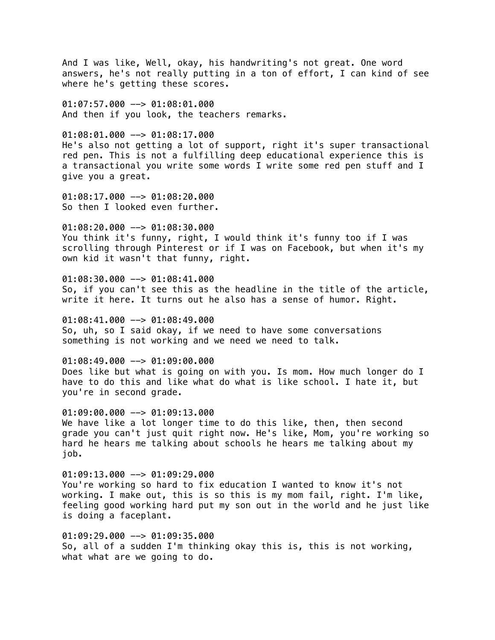And I was like, Well, okay, his handwriting's not great. One word answers, he's not really putting in a ton of effort, I can kind of see where he's getting these scores.

01:07:57.000 --> 01:08:01.000 And then if you look, the teachers remarks.

# 01:08:01.000 --> 01:08:17.000

He's also not getting a lot of support, right it's super transactional red pen. This is not a fulfilling deep educational experience this is a transactional you write some words I write some red pen stuff and I give you a great.

01:08:17.000 --> 01:08:20.000 So then I looked even further.

01:08:20.000 --> 01:08:30.000 You think it's funny, right, I would think it's funny too if I was scrolling through Pinterest or if I was on Facebook, but when it's my own kid it wasn't that funny, right.

01:08:30.000 --> 01:08:41.000 So, if you can't see this as the headline in the title of the article, write it here. It turns out he also has a sense of humor. Right.

 $01:08:41.000$  -->  $01:08:49.000$ So, uh, so I said okay, if we need to have some conversations something is not working and we need we need to talk.

01:08:49.000 --> 01:09:00.000 Does like but what is going on with you. Is mom. How much longer do I have to do this and like what do what is like school. I hate it, but you're in second grade.

 $01:09:00.000$  -->  $01:09:13.000$ We have like a lot longer time to do this like, then, then second grade you can't just quit right now. He's like, Mom, you're working so hard he hears me talking about schools he hears me talking about my job.

01:09:13.000 --> 01:09:29.000 You're working so hard to fix education I wanted to know it's not working. I make out, this is so this is my mom fail, right. I'm like, feeling good working hard put my son out in the world and he just like is doing a faceplant.

01:09:29.000 --> 01:09:35.000 So, all of a sudden I'm thinking okay this is, this is not working, what what are we going to do.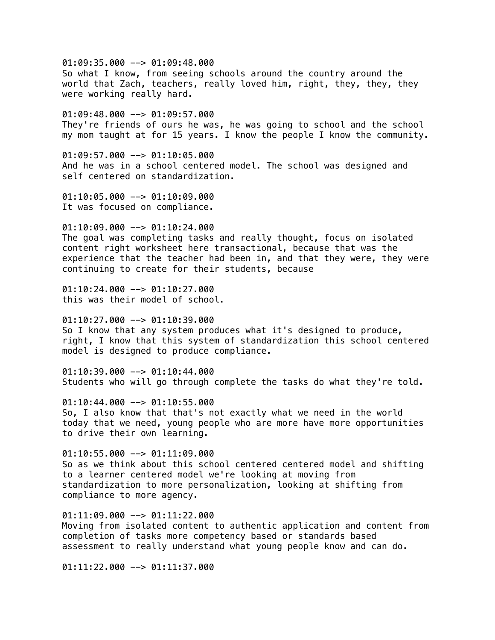$01:09:35.000$  -->  $01:09:48.000$ So what I know, from seeing schools around the country around the world that Zach, teachers, really loved him, right, they, they, they were working really hard. 01:09:48.000 --> 01:09:57.000 They're friends of ours he was, he was going to school and the school my mom taught at for 15 years. I know the people I know the community.  $01:09:57.000$  -->  $01:10:05.000$ And he was in a school centered model. The school was designed and self centered on standardization. 01:10:05.000 --> 01:10:09.000 It was focused on compliance.  $01:10:09.000$  -->  $01:10:24.000$ The goal was completing tasks and really thought, focus on isolated content right worksheet here transactional, because that was the experience that the teacher had been in, and that they were, they were continuing to create for their students, because  $01:10:24.000$  -->  $01:10:27.000$ this was their model of school.  $01:10:27.000$  -->  $01:10:39.000$ So I know that any system produces what it's designed to produce, right, I know that this system of standardization this school centered model is designed to produce compliance.

 $01:10:39.000$  -->  $01:10:44.000$ Students who will go through complete the tasks do what they're told.

 $01:10:44.000$  -->  $01:10:55.000$ So, I also know that that's not exactly what we need in the world today that we need, young people who are more have more opportunities to drive their own learning.

 $01:10:55.000$  -->  $01:11:09.000$ So as we think about this school centered centered model and shifting to a learner centered model we're looking at moving from standardization to more personalization, looking at shifting from compliance to more agency.

 $01:11:09.000$  -->  $01:11:22.000$ Moving from isolated content to authentic application and content from completion of tasks more competency based or standards based assessment to really understand what young people know and can do.

01:11:22.000 --> 01:11:37.000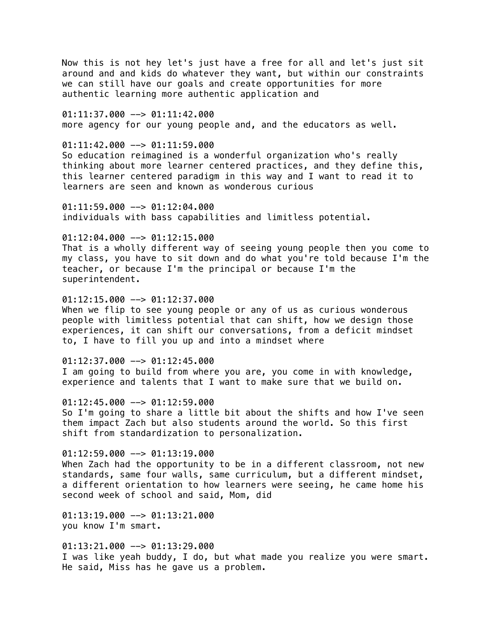Now this is not hey let's just have a free for all and let's just sit around and and kids do whatever they want, but within our constraints we can still have our goals and create opportunities for more authentic learning more authentic application and

01:11:37.000 --> 01:11:42.000 more agency for our young people and, and the educators as well.

 $01:11:42.000$  -->  $01:11:59.000$ So education reimagined is a wonderful organization who's really thinking about more learner centered practices, and they define this, this learner centered paradigm in this way and I want to read it to learners are seen and known as wonderous curious

 $01:11:59.000$  -->  $01:12:04.000$ individuals with bass capabilities and limitless potential.

 $01:12:04.000$  -->  $01:12:15.000$ That is a wholly different way of seeing young people then you come to my class, you have to sit down and do what you're told because I'm the teacher, or because I'm the principal or because I'm the superintendent.

 $01:12:15.000$  -->  $01:12:37.000$ When we flip to see young people or any of us as curious wonderous people with limitless potential that can shift, how we design those experiences, it can shift our conversations, from a deficit mindset to, I have to fill you up and into a mindset where

 $01:12:37.000$  -->  $01:12:45.000$ I am going to build from where you are, you come in with knowledge, experience and talents that I want to make sure that we build on.

 $01:12:45.000$  -->  $01:12:59.000$ So I'm going to share a little bit about the shifts and how I've seen them impact Zach but also students around the world. So this first shift from standardization to personalization.

 $01:12:59.000$  -->  $01:13:19.000$ When Zach had the opportunity to be in a different classroom, not new standards, same four walls, same curriculum, but a different mindset, a different orientation to how learners were seeing, he came home his second week of school and said, Mom, did

 $01:13:19.000$  -->  $01:13:21.000$ you know I'm smart.

01:13:21.000 --> 01:13:29.000 I was like yeah buddy, I do, but what made you realize you were smart. He said, Miss has he gave us a problem.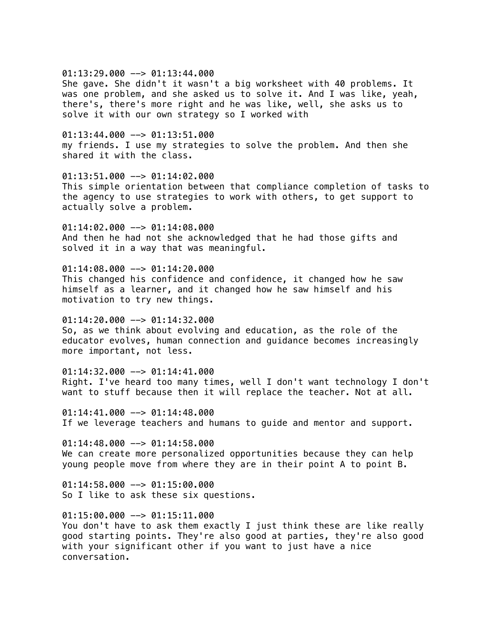$01:13:29.000$  -->  $01:13:44.000$ 

She gave. She didn't it wasn't a big worksheet with 40 problems. It was one problem, and she asked us to solve it. And I was like, yeah, there's, there's more right and he was like, well, she asks us to solve it with our own strategy so I worked with

 $01:13:44.000$  -->  $01:13:51.000$ my friends. I use my strategies to solve the problem. And then she shared it with the class.

01:13:51.000 --> 01:14:02.000 This simple orientation between that compliance completion of tasks to the agency to use strategies to work with others, to get support to actually solve a problem.

01:14:02.000 --> 01:14:08.000 And then he had not she acknowledged that he had those gifts and solved it in a way that was meaningful.

 $01:14:08.000$  -->  $01:14:20.000$ This changed his confidence and confidence, it changed how he saw himself as a learner, and it changed how he saw himself and his motivation to try new things.

 $01:14:20.000$  -->  $01:14:32.000$ So, as we think about evolving and education, as the role of the educator evolves, human connection and guidance becomes increasingly more important, not less.

01:14:32.000 --> 01:14:41.000 Right. I've heard too many times, well I don't want technology I don't want to stuff because then it will replace the teacher. Not at all.

 $01:14:41.000$  -->  $01:14:48.000$ If we leverage teachers and humans to guide and mentor and support.

 $01:14:48.000$  -->  $01:14:58.000$ We can create more personalized opportunities because they can help young people move from where they are in their point A to point B.

 $01:14:58.000$  -->  $01:15:00.000$ So I like to ask these six questions.

 $01:15:00.000$  -->  $01:15:11.000$ You don't have to ask them exactly I just think these are like really good starting points. They're also good at parties, they're also good with your significant other if you want to just have a nice conversation.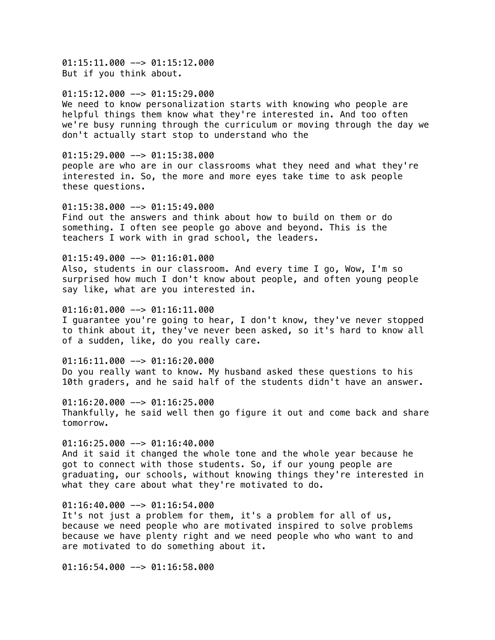01:15:11.000 --> 01:15:12.000 But if you think about.

 $01:15:12.000$  -->  $01:15:29.000$ We need to know personalization starts with knowing who people are helpful things them know what they're interested in. And too often we're busy running through the curriculum or moving through the day we don't actually start stop to understand who the

 $01:15:29.000$  -->  $01:15:38.000$ people are who are in our classrooms what they need and what they're interested in. So, the more and more eyes take time to ask people these questions.

 $01:15:38.000$  -->  $01:15:49.000$ Find out the answers and think about how to build on them or do something. I often see people go above and beyond. This is the teachers I work with in grad school, the leaders.

 $01:15:49.000$  -->  $01:16:01.000$ Also, students in our classroom. And every time I go, Wow, I'm so surprised how much I don't know about people, and often young people say like, what are you interested in.

 $01:16:01.000$  -->  $01:16:11.000$ I guarantee you're going to hear, I don't know, they've never stopped to think about it, they've never been asked, so it's hard to know all of a sudden, like, do you really care.

 $01:16:11.000$  -->  $01:16:20.000$ Do you really want to know. My husband asked these questions to his 10th graders, and he said half of the students didn't have an answer.

 $01:16:20.000$  -->  $01:16:25.000$ Thankfully, he said well then go figure it out and come back and share tomorrow.

 $01:16:25.000$  -->  $01:16:40.000$ And it said it changed the whole tone and the whole year because he got to connect with those students. So, if our young people are graduating, our schools, without knowing things they're interested in what they care about what they're motivated to do.

01:16:40.000 --> 01:16:54.000 It's not just a problem for them, it's a problem for all of us, because we need people who are motivated inspired to solve problems because we have plenty right and we need people who who want to and are motivated to do something about it.

 $01:16:54.000$  -->  $01:16:58.000$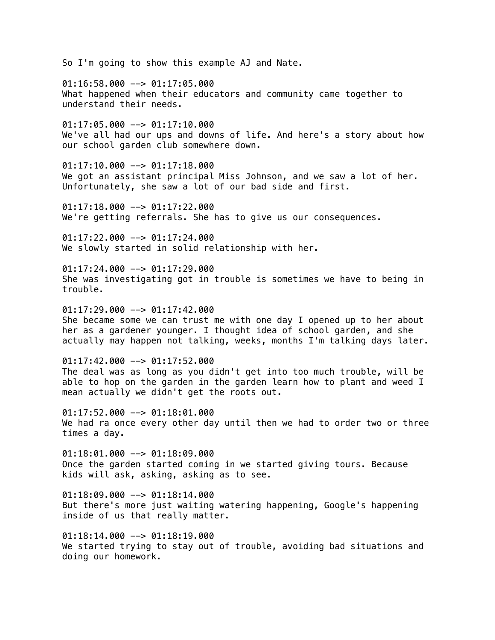So I'm going to show this example AJ and Nate.

 $01:16:58.000$  -->  $01:17:05.000$ What happened when their educators and community came together to understand their needs.

 $01:17:05.000$  -->  $01:17:10.000$ We've all had our ups and downs of life. And here's a story about how our school garden club somewhere down.

 $01:17:10.000$  -->  $01:17:18.000$ We got an assistant principal Miss Johnson, and we saw a lot of her. Unfortunately, she saw a lot of our bad side and first.

 $01:17:18.000$  -->  $01:17:22.000$ We're getting referrals. She has to give us our consequences.

 $01:17:22.000$  -->  $01:17:24.000$ We slowly started in solid relationship with her.

 $01:17:24.000$  -->  $01:17:29.000$ She was investigating got in trouble is sometimes we have to being in trouble.

 $01:17:29.000$  -->  $01:17:42.000$ She became some we can trust me with one day I opened up to her about her as a gardener younger. I thought idea of school garden, and she actually may happen not talking, weeks, months I'm talking days later.

 $01:17:42.000$  -->  $01:17:52.000$ The deal was as long as you didn't get into too much trouble, will be able to hop on the garden in the garden learn how to plant and weed I mean actually we didn't get the roots out.

 $01:17:52.000$  -->  $01:18:01.000$ We had ra once every other day until then we had to order two or three times a day.

 $01:18:01.000$  -->  $01:18:09.000$ Once the garden started coming in we started giving tours. Because kids will ask, asking, asking as to see.

 $01:18:09.000$  -->  $01:18:14.000$ But there's more just waiting watering happening, Google's happening inside of us that really matter.

01:18:14.000 --> 01:18:19.000 We started trying to stay out of trouble, avoiding bad situations and doing our homework.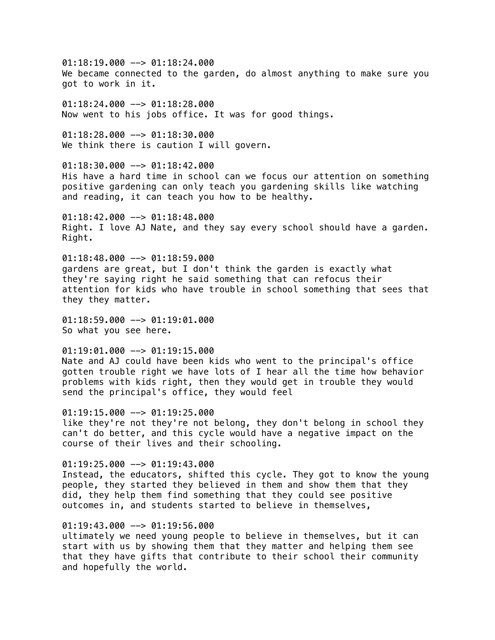$01:18:19.000$  -->  $01:18:24.000$ We became connected to the garden, do almost anything to make sure you got to work in it.

 $01:18:24.000$  -->  $01:18:28.000$ Now went to his jobs office. It was for good things.

 $01:18:28.000$  -->  $01:18:30.000$ We think there is caution I will govern.

 $01:18:30.000$  -->  $01:18:42.000$ His have a hard time in school can we focus our attention on something positive gardening can only teach you gardening skills like watching and reading, it can teach you how to be healthy.

01:18:42.000 --> 01:18:48.000 Right. I love AJ Nate, and they say every school should have a garden. Right.

 $01:18:48.000$  -->  $01:18:59.000$ gardens are great, but I don't think the garden is exactly what they're saying right he said something that can refocus their attention for kids who have trouble in school something that sees that they they matter.

 $01:18:59.000$  -->  $01:19:01.000$ So what you see here.

 $01:19:01.000$  -->  $01:19:15.000$ Nate and AJ could have been kids who went to the principal's office gotten trouble right we have lots of I hear all the time how behavior problems with kids right, then they would get in trouble they would send the principal's office, they would feel

 $01:19:15.000$  -->  $01:19:25.000$ like they're not they're not belong, they don't belong in school they can't do better, and this cycle would have a negative impact on the course of their lives and their schooling.

 $01:19:25.000$  -->  $01:19:43.000$ Instead, the educators, shifted this cycle. They got to know the young people, they started they believed in them and show them that they did, they help them find something that they could see positive outcomes in, and students started to believe in themselves,

# 01:19:43.000 --> 01:19:56.000

ultimately we need young people to believe in themselves, but it can start with us by showing them that they matter and helping them see that they have gifts that contribute to their school their community and hopefully the world.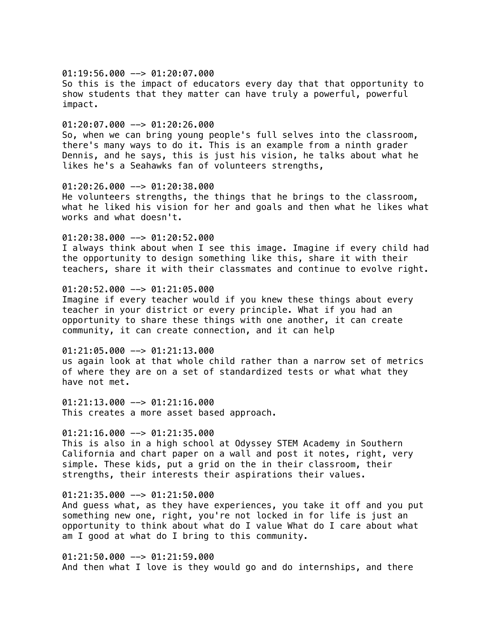$01:19:56.000$  -->  $01:20:07.000$ So this is the impact of educators every day that that opportunity to show students that they matter can have truly a powerful, powerful impact.

# $01:20:07.000$  -->  $01:20:26.000$

So, when we can bring young people's full selves into the classroom, there's many ways to do it. This is an example from a ninth grader Dennis, and he says, this is just his vision, he talks about what he likes he's a Seahawks fan of volunteers strengths,

01:20:26.000 --> 01:20:38.000 He volunteers strengths, the things that he brings to the classroom, what he liked his vision for her and goals and then what he likes what works and what doesn't.

01:20:38.000 --> 01:20:52.000 I always think about when I see this image. Imagine if every child had the opportunity to design something like this, share it with their teachers, share it with their classmates and continue to evolve right.

# 01:20:52.000 --> 01:21:05.000

Imagine if every teacher would if you knew these things about every teacher in your district or every principle. What if you had an opportunity to share these things with one another, it can create community, it can create connection, and it can help

01:21:05.000 --> 01:21:13.000 us again look at that whole child rather than a narrow set of metrics of where they are on a set of standardized tests or what what they have not met.

01:21:13.000 --> 01:21:16.000 This creates a more asset based approach.

# $01:21:16.000$  -->  $01:21:35.000$

This is also in a high school at Odyssey STEM Academy in Southern California and chart paper on a wall and post it notes, right, very simple. These kids, put a grid on the in their classroom, their strengths, their interests their aspirations their values.

### $01:21:35.000$  -->  $01:21:50.000$

And guess what, as they have experiences, you take it off and you put something new one, right, you're not locked in for life is just an opportunity to think about what do I value What do I care about what am I good at what do I bring to this community.

01:21:50.000 --> 01:21:59.000 And then what I love is they would go and do internships, and there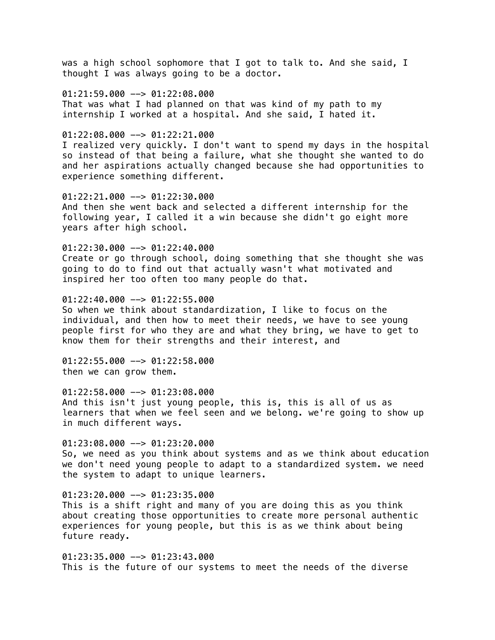was a high school sophomore that I got to talk to. And she said, I thought I was always going to be a doctor.

 $01:21:59.000$  -->  $01:22:08.000$ That was what I had planned on that was kind of my path to my internship I worked at a hospital. And she said, I hated it.

## $01:22:08.000$  -->  $01:22:21.000$

I realized very quickly. I don't want to spend my days in the hospital so instead of that being a failure, what she thought she wanted to do and her aspirations actually changed because she had opportunities to experience something different.

 $01:22:21.000$  -->  $01:22:30.000$ And then she went back and selected a different internship for the following year, I called it a win because she didn't go eight more years after high school.

### 01:22:30.000 --> 01:22:40.000

Create or go through school, doing something that she thought she was going to do to find out that actually wasn't what motivated and inspired her too often too many people do that.

 $01:22:40.000$  -->  $01:22:55.000$ 

So when we think about standardization, I like to focus on the individual, and then how to meet their needs, we have to see young people first for who they are and what they bring, we have to get to know them for their strengths and their interest, and

 $01:22:55.000$  -->  $01:22:58.000$ then we can grow them.

01:22:58.000 --> 01:23:08.000 And this isn't just young people, this is, this is all of us as learners that when we feel seen and we belong. we're going to show up in much different ways.

 $01:23:08.000$  -->  $01:23:20.000$ So, we need as you think about systems and as we think about education we don't need young people to adapt to a standardized system. we need the system to adapt to unique learners.

### $01:23:20.000$  -->  $01:23:35.000$

This is a shift right and many of you are doing this as you think about creating those opportunities to create more personal authentic experiences for young people, but this is as we think about being future ready.

01:23:35.000 --> 01:23:43.000 This is the future of our systems to meet the needs of the diverse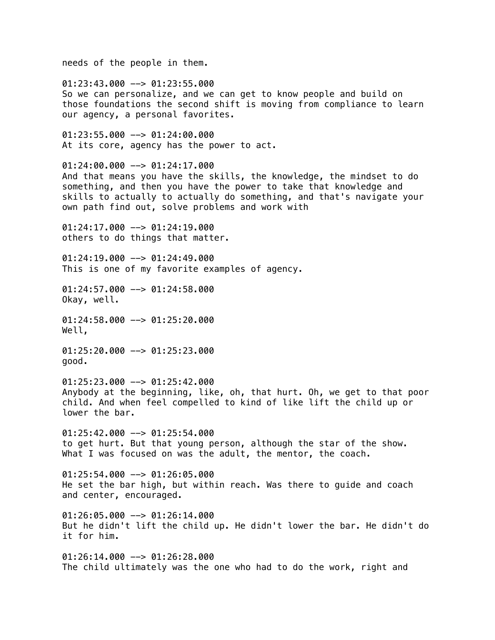needs of the people in them.

 $01:23:43.000$  -->  $01:23:55.000$ So we can personalize, and we can get to know people and build on those foundations the second shift is moving from compliance to learn our agency, a personal favorites.

01:23:55.000 --> 01:24:00.000 At its core, agency has the power to act.

01:24:00.000 --> 01:24:17.000 And that means you have the skills, the knowledge, the mindset to do something, and then you have the power to take that knowledge and skills to actually to actually do something, and that's navigate your own path find out, solve problems and work with

01:24:17.000 --> 01:24:19.000 others to do things that matter.

 $01:24:19.000$  -->  $01:24:49.000$ This is one of my favorite examples of agency.

01:24:57.000 --> 01:24:58.000 Okay, well.

01:24:58.000 --> 01:25:20.000 Well,

01:25:20.000 --> 01:25:23.000 good.

01:25:23.000 --> 01:25:42.000 Anybody at the beginning, like, oh, that hurt. Oh, we get to that poor child. And when feel compelled to kind of like lift the child up or lower the bar.

 $01:25:42.000$  -->  $01:25:54.000$ to get hurt. But that young person, although the star of the show. What I was focused on was the adult, the mentor, the coach.

01:25:54.000 --> 01:26:05.000 He set the bar high, but within reach. Was there to guide and coach and center, encouraged.

 $01:26:05.000$  -->  $01:26:14.000$ But he didn't lift the child up. He didn't lower the bar. He didn't do it for him.

01:26:14.000 --> 01:26:28.000 The child ultimately was the one who had to do the work, right and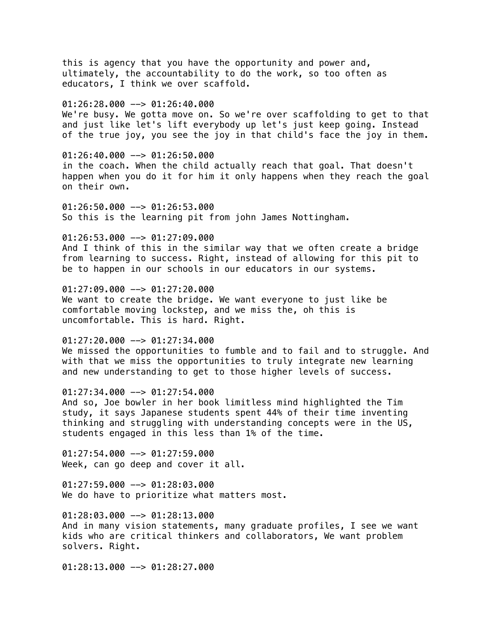this is agency that you have the opportunity and power and, ultimately, the accountability to do the work, so too often as educators, I think we over scaffold.  $01:26:28.000$  -->  $01:26:40.000$ We're busy. We gotta move on. So we're over scaffolding to get to that and just like let's lift everybody up let's just keep going. Instead of the true joy, you see the joy in that child's face the joy in them.  $01:26:40.000$  -->  $01:26:50.000$ in the coach. When the child actually reach that goal. That doesn't happen when you do it for him it only happens when they reach the goal on their own. 01:26:50.000 --> 01:26:53.000 So this is the learning pit from john James Nottingham. 01:26:53.000 --> 01:27:09.000 And I think of this in the similar way that we often create a bridge from learning to success. Right, instead of allowing for this pit to be to happen in our schools in our educators in our systems. 01:27:09.000 --> 01:27:20.000 We want to create the bridge. We want everyone to just like be comfortable moving lockstep, and we miss the, oh this is uncomfortable. This is hard. Right.  $01:27:20.000$  -->  $01:27:34.000$ We missed the opportunities to fumble and to fail and to struggle. And with that we miss the opportunities to truly integrate new learning and new understanding to get to those higher levels of success.

 $01:27:34.000$  -->  $01:27:54.000$ And so, Joe bowler in her book limitless mind highlighted the Tim study, it says Japanese students spent 44% of their time inventing thinking and struggling with understanding concepts were in the US, students engaged in this less than 1% of the time.

 $01:27:54.000$  -->  $01:27:59.000$ Week, can go deep and cover it all.

01:27:59.000 --> 01:28:03.000 We do have to prioritize what matters most.

 $01:28:03.000$  -->  $01:28:13.000$ And in many vision statements, many graduate profiles, I see we want kids who are critical thinkers and collaborators, We want problem solvers. Right.

01:28:13.000 --> 01:28:27.000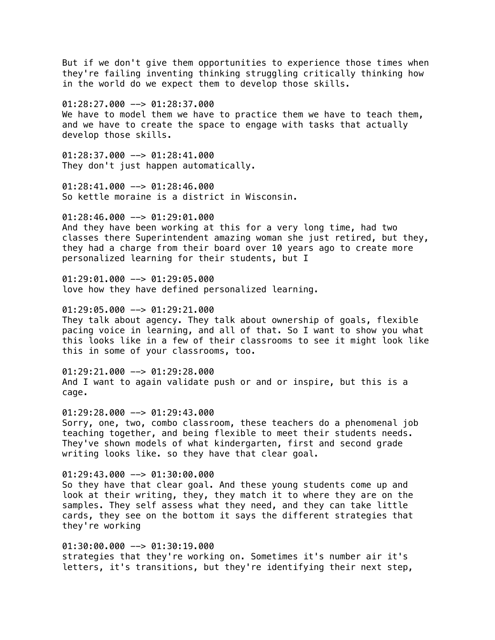But if we don't give them opportunities to experience those times when they're failing inventing thinking struggling critically thinking how in the world do we expect them to develop those skills.

 $01:28:27.000$  -->  $01:28:37.000$ We have to model them we have to practice them we have to teach them, and we have to create the space to engage with tasks that actually develop those skills.

 $01:28:37.000$  -->  $01:28:41.000$ They don't just happen automatically.

 $01:28:41.000$  -->  $01:28:46.000$ So kettle moraine is a district in Wisconsin.

01:28:46.000 --> 01:29:01.000 And they have been working at this for a very long time, had two classes there Superintendent amazing woman she just retired, but they, they had a charge from their board over 10 years ago to create more personalized learning for their students, but I

 $01:29:01.000$  -->  $01:29:05.000$ love how they have defined personalized learning.

 $01:29:05.000$  -->  $01:29:21.000$ 

They talk about agency. They talk about ownership of goals, flexible pacing voice in learning, and all of that. So I want to show you what this looks like in a few of their classrooms to see it might look like this in some of your classrooms, too.

01:29:21.000 --> 01:29:28.000 And I want to again validate push or and or inspire, but this is a cage.

 $01:29:28.000$  -->  $01:29:43.000$ Sorry, one, two, combo classroom, these teachers do a phenomenal job teaching together, and being flexible to meet their students needs. They've shown models of what kindergarten, first and second grade writing looks like. so they have that clear goal.

01:29:43.000 --> 01:30:00.000 So they have that clear goal. And these young students come up and look at their writing, they, they match it to where they are on the samples. They self assess what they need, and they can take little cards, they see on the bottom it says the different strategies that they're working

01:30:00.000 --> 01:30:19.000 strategies that they're working on. Sometimes it's number air it's letters, it's transitions, but they're identifying their next step,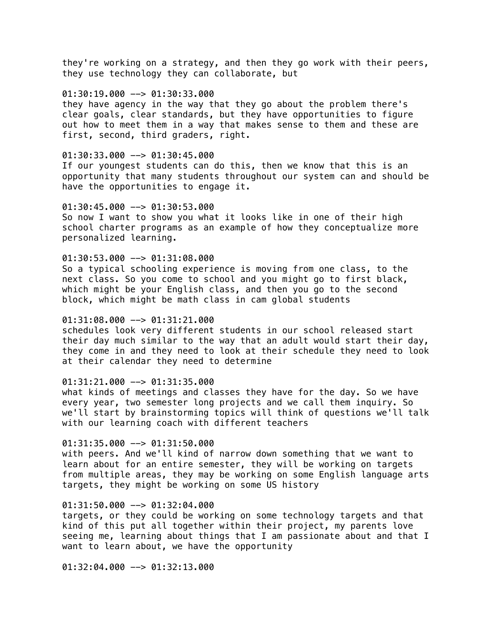they're working on a strategy, and then they go work with their peers, they use technology they can collaborate, but

# $01:30:19.000$  -->  $01:30:33.000$

they have agency in the way that they go about the problem there's clear goals, clear standards, but they have opportunities to figure out how to meet them in a way that makes sense to them and these are first, second, third graders, right.

## 01:30:33.000 --> 01:30:45.000

If our youngest students can do this, then we know that this is an opportunity that many students throughout our system can and should be have the opportunities to engage it.

### $01:30:45.000$  -->  $01:30:53.000$

So now I want to show you what it looks like in one of their high school charter programs as an example of how they conceptualize more personalized learning.

# $01:30:53.000$  -->  $01:31:08.000$

So a typical schooling experience is moving from one class, to the next class. So you come to school and you might go to first black, which might be your English class, and then you go to the second block, which might be math class in cam global students

# $01:31:08.000$  -->  $01:31:21.000$

schedules look very different students in our school released start their day much similar to the way that an adult would start their day, they come in and they need to look at their schedule they need to look at their calendar they need to determine

# 01:31:21.000 --> 01:31:35.000

what kinds of meetings and classes they have for the day. So we have every year, two semester long projects and we call them inquiry. So we'll start by brainstorming topics will think of questions we'll talk with our learning coach with different teachers

# 01:31:35.000 --> 01:31:50.000

with peers. And we'll kind of narrow down something that we want to learn about for an entire semester, they will be working on targets from multiple areas, they may be working on some English language arts targets, they might be working on some US history

#### 01:31:50.000 --> 01:32:04.000

targets, or they could be working on some technology targets and that kind of this put all together within their project, my parents love seeing me, learning about things that I am passionate about and that I want to learn about, we have the opportunity

01:32:04.000 --> 01:32:13.000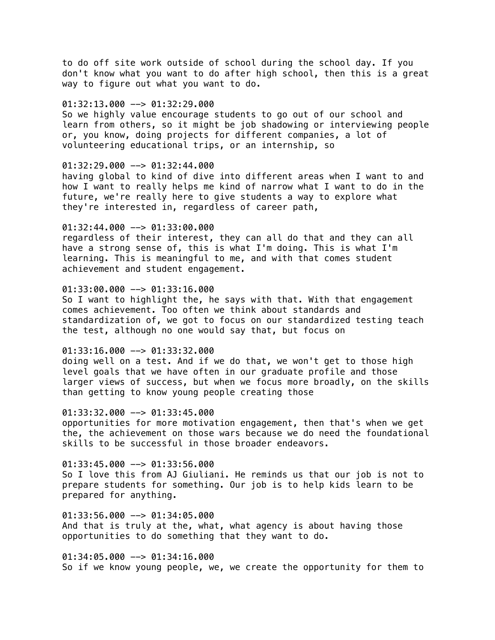to do off site work outside of school during the school day. If you don't know what you want to do after high school, then this is a great way to figure out what you want to do.

## $01:32:13.000$  -->  $01:32:29.000$

So we highly value encourage students to go out of our school and learn from others, so it might be job shadowing or interviewing people or, you know, doing projects for different companies, a lot of volunteering educational trips, or an internship, so

## $01:32:29.000$  -->  $01:32:44.000$

having global to kind of dive into different areas when I want to and how I want to really helps me kind of narrow what I want to do in the future, we're really here to give students a way to explore what they're interested in, regardless of career path,

# 01:32:44.000 --> 01:33:00.000

regardless of their interest, they can all do that and they can all have a strong sense of, this is what I'm doing. This is what I'm learning. This is meaningful to me, and with that comes student achievement and student engagement.

# 01:33:00.000 --> 01:33:16.000

So I want to highlight the, he says with that. With that engagement comes achievement. Too often we think about standards and standardization of, we got to focus on our standardized testing teach the test, although no one would say that, but focus on

# 01:33:16.000 --> 01:33:32.000

doing well on a test. And if we do that, we won't get to those high level goals that we have often in our graduate profile and those larger views of success, but when we focus more broadly, on the skills than getting to know young people creating those

## 01:33:32.000 --> 01:33:45.000

opportunities for more motivation engagement, then that's when we get the, the achievement on those wars because we do need the foundational skills to be successful in those broader endeavors.

#### $01:33:45.000$  -->  $01:33:56.000$

So I love this from AJ Giuliani. He reminds us that our job is not to prepare students for something. Our job is to help kids learn to be prepared for anything.

 $01:33:56.000$  -->  $01:34:05.000$ And that is truly at the, what, what agency is about having those opportunities to do something that they want to do.

01:34:05.000 --> 01:34:16.000 So if we know young people, we, we create the opportunity for them to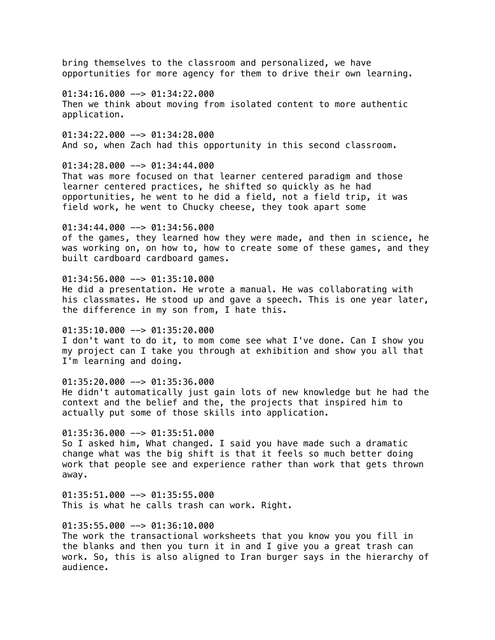opportunities for more agency for them to drive their own learning.  $01:34:16.000$  -->  $01:34:22.000$ Then we think about moving from isolated content to more authentic application.  $01:34:22.000$  -->  $01:34:28.000$ And so, when Zach had this opportunity in this second classroom.  $01:34:28.000$  -->  $01:34:44.000$ That was more focused on that learner centered paradigm and those learner centered practices, he shifted so quickly as he had opportunities, he went to he did a field, not a field trip, it was field work, he went to Chucky cheese, they took apart some 01:34:44.000 --> 01:34:56.000 of the games, they learned how they were made, and then in science, he was working on, on how to, how to create some of these games, and they built cardboard cardboard games.

bring themselves to the classroom and personalized, we have

 $01:34:56.000$  -->  $01:35:10.000$ He did a presentation. He wrote a manual. He was collaborating with his classmates. He stood up and gave a speech. This is one year later, the difference in my son from, I hate this.

 $01:35:10.000$  -->  $01:35:20.000$ I don't want to do it, to mom come see what I've done. Can I show you my project can I take you through at exhibition and show you all that I'm learning and doing.

 $01:35:20.000$  -->  $01:35:36.000$ He didn't automatically just gain lots of new knowledge but he had the context and the belief and the, the projects that inspired him to actually put some of those skills into application.

 $01:35:36.000$  -->  $01:35:51.000$ So I asked him, What changed. I said you have made such a dramatic change what was the big shift is that it feels so much better doing work that people see and experience rather than work that gets thrown away.

 $01:35:51.000$  -->  $01:35:55.000$ This is what he calls trash can work. Right.

01:35:55.000 --> 01:36:10.000 The work the transactional worksheets that you know you you fill in the blanks and then you turn it in and I give you a great trash can work. So, this is also aligned to Iran burger says in the hierarchy of audience.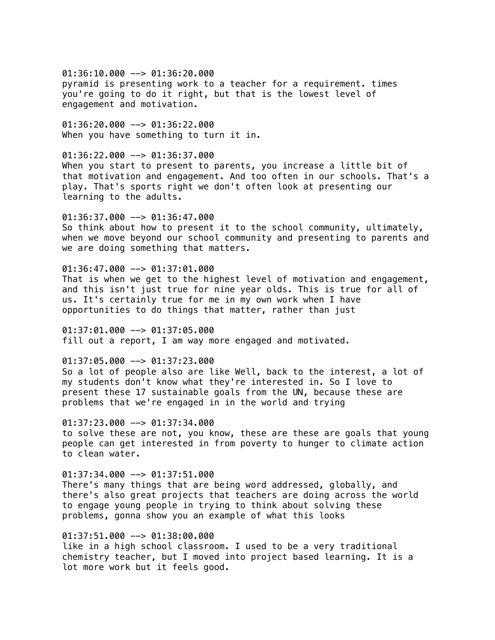$01:36:10.000$  -->  $01:36:20.000$ pyramid is presenting work to a teacher for a requirement. times you're going to do it right, but that is the lowest level of engagement and motivation.

01:36:20.000 --> 01:36:22.000 When you have something to turn it in.

01:36:22.000 --> 01:36:37.000 When you start to present to parents, you increase a little bit of that motivation and engagement. And too often in our schools. That's a play. That's sports right we don't often look at presenting our learning to the adults.

01:36:37.000 --> 01:36:47.000 So think about how to present it to the school community, ultimately, when we move beyond our school community and presenting to parents and we are doing something that matters.

 $01:36:47.000$  -->  $01:37:01.000$ That is when we get to the highest level of motivation and engagement, and this isn't just true for nine year olds. This is true for all of us. It's certainly true for me in my own work when I have opportunities to do things that matter, rather than just

 $01:37:01.000$  -->  $01:37:05.000$ fill out a report, I am way more engaged and motivated.

01:37:05.000 --> 01:37:23.000

So a lot of people also are like Well, back to the interest, a lot of my students don't know what they're interested in. So I love to present these 17 sustainable goals from the UN, because these are problems that we're engaged in in the world and trying

 $01:37:23.000$  -->  $01:37:34.000$ to solve these are not, you know, these are these are goals that young people can get interested in from poverty to hunger to climate action to clean water.

 $01:37:34.000$  -->  $01:37:51.000$ There's many things that are being word addressed, globally, and there's also great projects that teachers are doing across the world to engage young people in trying to think about solving these problems, gonna show you an example of what this looks

01:37:51.000 --> 01:38:00.000 like in a high school classroom. I used to be a very traditional chemistry teacher, but I moved into project based learning. It is a lot more work but it feels good.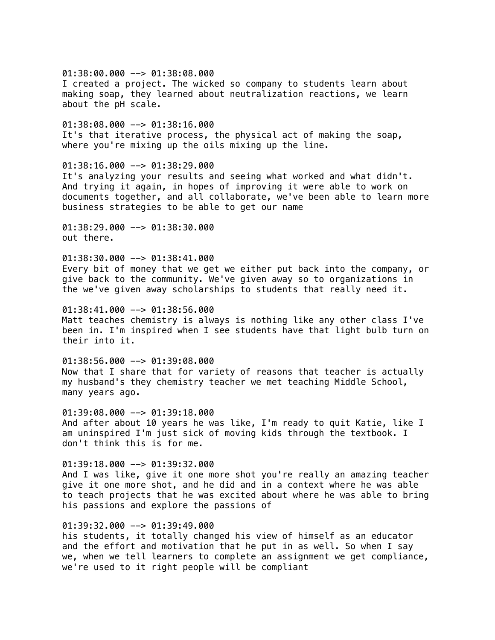$01:38:00.000$  -->  $01:38:08.000$ I created a project. The wicked so company to students learn about making soap, they learned about neutralization reactions, we learn about the pH scale. 01:38:08.000 --> 01:38:16.000 It's that iterative process, the physical act of making the soap, where you're mixing up the oils mixing up the line.  $01:38:16.000$  -->  $01:38:29.000$ It's analyzing your results and seeing what worked and what didn't. And trying it again, in hopes of improving it were able to work on documents together, and all collaborate, we've been able to learn more business strategies to be able to get our name 01:38:29.000 --> 01:38:30.000 out there.  $01:38:30.000$  -->  $01:38:41.000$ Every bit of money that we get we either put back into the company, or give back to the community. We've given away so to organizations in the we've given away scholarships to students that really need it.  $01:38:41.000$  -->  $01:38:56.000$ Matt teaches chemistry is always is nothing like any other class I've been in. I'm inspired when I see students have that light bulb turn on their into it.  $01:38:56.000$  -->  $01:39:08.000$ Now that I share that for variety of reasons that teacher is actually my husband's they chemistry teacher we met teaching Middle School, many years ago. 01:39:08.000 --> 01:39:18.000 And after about 10 years he was like, I'm ready to quit Katie, like I am uninspired I'm just sick of moving kids through the textbook. I don't think this is for me.  $01:39:18.000$  -->  $01:39:32.000$ And I was like, give it one more shot you're really an amazing teacher give it one more shot, and he did and in a context where he was able to teach projects that he was excited about where he was able to bring his passions and explore the passions of 01:39:32.000 --> 01:39:49.000

his students, it totally changed his view of himself as an educator and the effort and motivation that he put in as well. So when I say we, when we tell learners to complete an assignment we get compliance, we're used to it right people will be compliant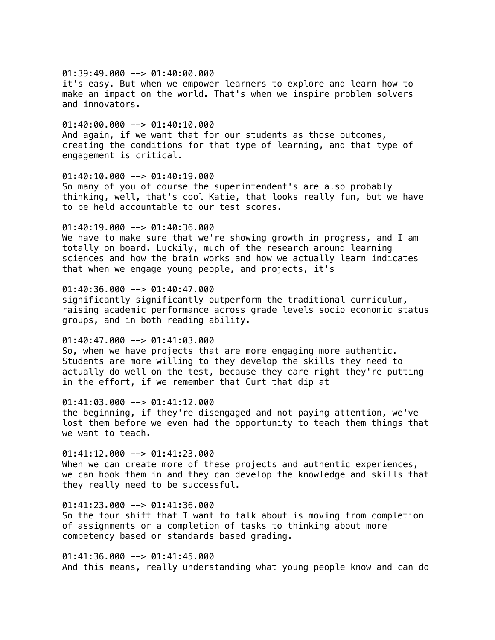01:39:49.000 --> 01:40:00.000 it's easy. But when we empower learners to explore and learn how to make an impact on the world. That's when we inspire problem solvers and innovators.

 $01:40:00.000$  -->  $01:40:10.000$ And again, if we want that for our students as those outcomes, creating the conditions for that type of learning, and that type of engagement is critical.

### 01:40:10.000 --> 01:40:19.000

So many of you of course the superintendent's are also probably thinking, well, that's cool Katie, that looks really fun, but we have to be held accountable to our test scores.

# 01:40:19.000 --> 01:40:36.000

We have to make sure that we're showing growth in progress, and I am totally on board. Luckily, much of the research around learning sciences and how the brain works and how we actually learn indicates that when we engage young people, and projects, it's

# 01:40:36.000 --> 01:40:47.000

significantly significantly outperform the traditional curriculum, raising academic performance across grade levels socio economic status groups, and in both reading ability.

#### $01:40:47.000$  -->  $01:41:03.000$

So, when we have projects that are more engaging more authentic. Students are more willing to they develop the skills they need to actually do well on the test, because they care right they're putting in the effort, if we remember that Curt that dip at

# $01:41:03.000$  -->  $01:41:12.000$

the beginning, if they're disengaged and not paying attention, we've lost them before we even had the opportunity to teach them things that we want to teach.

 $01:41:12.000$  -->  $01:41:23.000$ When we can create more of these projects and authentic experiences, we can hook them in and they can develop the knowledge and skills that they really need to be successful.

 $01:41:23.000$  -->  $01:41:36.000$ So the four shift that I want to talk about is moving from completion of assignments or a completion of tasks to thinking about more competency based or standards based grading.

 $01:41:36.000$  -->  $01:41:45.000$ And this means, really understanding what young people know and can do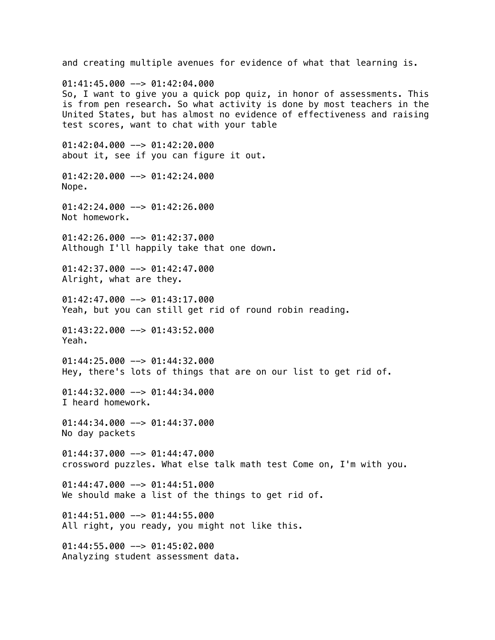and creating multiple avenues for evidence of what that learning is.  $01:41:45.000$  -->  $01:42:04.000$ So, I want to give you a quick pop quiz, in honor of assessments. This is from pen research. So what activity is done by most teachers in the United States, but has almost no evidence of effectiveness and raising test scores, want to chat with your table  $01:42:04.000$  -->  $01:42:20.000$ about it, see if you can figure it out. 01:42:20.000 --> 01:42:24.000 Nope.  $01:42:24.000$  -->  $01:42:26.000$ Not homework. 01:42:26.000 --> 01:42:37.000 Although I'll happily take that one down.  $01:42:37.000$  -->  $01:42:47.000$ Alright, what are they.  $01:42:47.000$  -->  $01:43:17.000$ Yeah, but you can still get rid of round robin reading.  $01:43:22.000$  -->  $01:43:52.000$ Yeah.  $01:44:25.000$  -->  $01:44:32.000$ Hey, there's lots of things that are on our list to get rid of.  $01:44:32.000$  -->  $01:44:34.000$ I heard homework. 01:44:34.000 --> 01:44:37.000 No day packets  $01:44:37.000$  -->  $01:44:47.000$ crossword puzzles. What else talk math test Come on, I'm with you.  $01:44:47.000$  -->  $01:44:51.000$ We should make a list of the things to get rid of.  $01:44:51.000$  -->  $01:44:55.000$ All right, you ready, you might not like this. 01:44:55.000 --> 01:45:02.000 Analyzing student assessment data.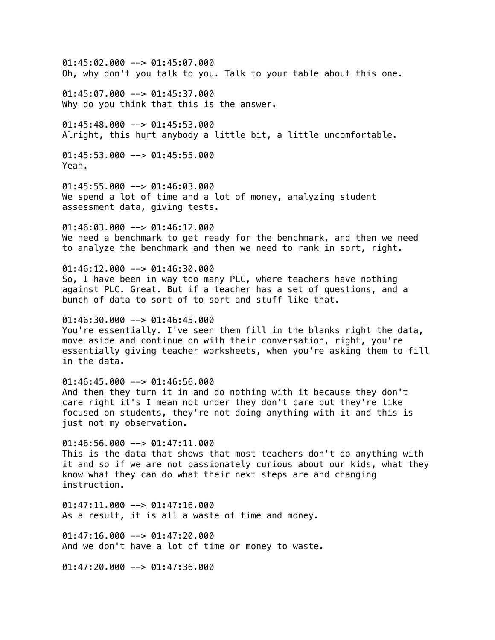01:45:02.000 --> 01:45:07.000 Oh, why don't you talk to you. Talk to your table about this one.

01:45:07.000 --> 01:45:37.000 Why do you think that this is the answer.

 $01:45:48.000$  -->  $01:45:53.000$ Alright, this hurt anybody a little bit, a little uncomfortable.

 $01:45:53.000$  -->  $01:45:55.000$ Yeah.

01:45:55.000 --> 01:46:03.000 We spend a lot of time and a lot of money, analyzing student assessment data, giving tests.

01:46:03.000 --> 01:46:12.000 We need a benchmark to get ready for the benchmark, and then we need to analyze the benchmark and then we need to rank in sort, right.

 $01:46:12.000$  -->  $01:46:30.000$ So, I have been in way too many PLC, where teachers have nothing against PLC. Great. But if a teacher has a set of questions, and a bunch of data to sort of to sort and stuff like that.

 $01:46:30.000$  -->  $01:46:45.000$ You're essentially. I've seen them fill in the blanks right the data, move aside and continue on with their conversation, right, you're essentially giving teacher worksheets, when you're asking them to fill in the data.

 $01:46:45.000$  -->  $01:46:56.000$ And then they turn it in and do nothing with it because they don't care right it's I mean not under they don't care but they're like focused on students, they're not doing anything with it and this is just not my observation.

 $01:46:56.000$  -->  $01:47:11.000$ This is the data that shows that most teachers don't do anything with it and so if we are not passionately curious about our kids, what they know what they can do what their next steps are and changing instruction.

 $01:47:11.000$  -->  $01:47:16.000$ As a result, it is all a waste of time and money.

 $01:47:16.000$  -->  $01:47:20.000$ And we don't have a lot of time or money to waste.

 $01:47:20.000$  -->  $01:47:36.000$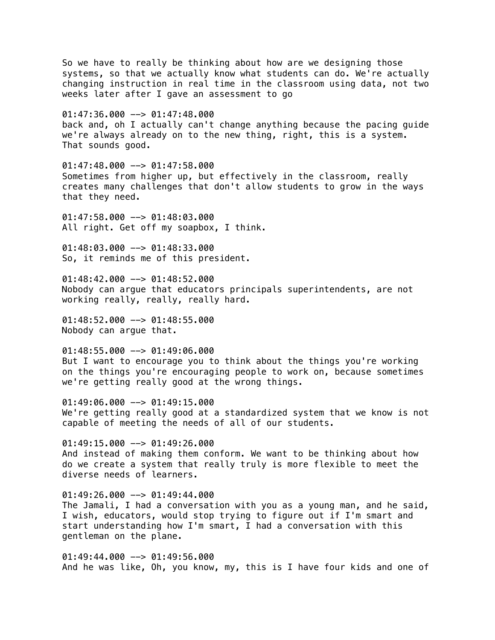So we have to really be thinking about how are we designing those systems, so that we actually know what students can do. We're actually changing instruction in real time in the classroom using data, not two weeks later after I gave an assessment to go 01:47:36.000 --> 01:47:48.000 back and, oh I actually can't change anything because the pacing guide we're always already on to the new thing, right, this is a system. That sounds good.  $01:47:48.000$  -->  $01:47:58.000$ Sometimes from higher up, but effectively in the classroom, really creates many challenges that don't allow students to grow in the ways that they need. 01:47:58.000 --> 01:48:03.000 All right. Get off my soapbox, I think. 01:48:03.000 --> 01:48:33.000 So, it reminds me of this president.  $01:48:42.000$  -->  $01:48:52.000$ Nobody can argue that educators principals superintendents, are not working really, really, really hard.  $01:48:52.000$  -->  $01:48:55.000$ Nobody can argue that.  $01:48:55.000$  -->  $01:49:06.000$ But I want to encourage you to think about the things you're working on the things you're encouraging people to work on, because sometimes we're getting really good at the wrong things.  $01:49:06.000$  -->  $01:49:15.000$ We're getting really good at a standardized system that we know is not capable of meeting the needs of all of our students.  $01:49:15.000$  -->  $01:49:26.000$ And instead of making them conform. We want to be thinking about how do we create a system that really truly is more flexible to meet the diverse needs of learners.  $01:49:26.000$  -->  $01:49:44.000$ The Jamali, I had a conversation with you as a young man, and he said, I wish, educators, would stop trying to figure out if I'm smart and start understanding how I'm smart, I had a conversation with this gentleman on the plane. 01:49:44.000 --> 01:49:56.000 And he was like, Oh, you know, my, this is I have four kids and one of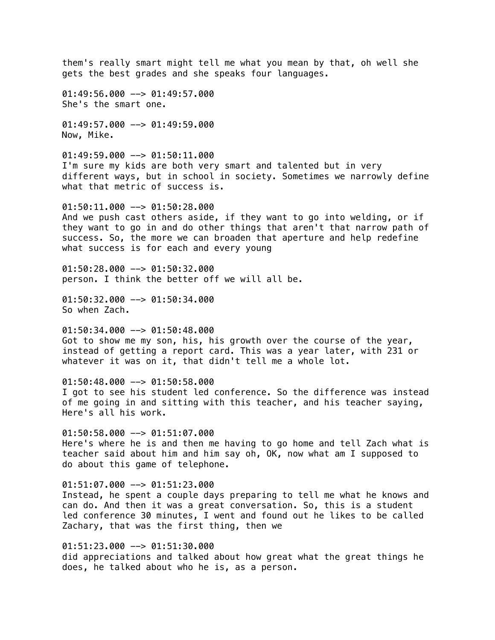them's really smart might tell me what you mean by that, oh well she gets the best grades and she speaks four languages.

 $01:49:56.000$  -->  $01:49:57.000$ She's the smart one.

01:49:57.000 --> 01:49:59.000 Now, Mike.

 $01:49:59.000$  -->  $01:50:11.000$ I'm sure my kids are both very smart and talented but in very different ways, but in school in society. Sometimes we narrowly define what that metric of success is.

 $01:50:11.000$  -->  $01:50:28.000$ And we push cast others aside, if they want to go into welding, or if they want to go in and do other things that aren't that narrow path of success. So, the more we can broaden that aperture and help redefine what success is for each and every young

 $01:50:28.000$  -->  $01:50:32.000$ person. I think the better off we will all be.

 $01:50:32.000$  -->  $01:50:34.000$ So when Zach.

 $01:50:34.000$  -->  $01:50:48.000$ Got to show me my son, his, his growth over the course of the year, instead of getting a report card. This was a year later, with 231 or whatever it was on it, that didn't tell me a whole lot.

01:50:48.000 --> 01:50:58.000 I got to see his student led conference. So the difference was instead of me going in and sitting with this teacher, and his teacher saying, Here's all his work.

 $01:50:58.000$  -->  $01:51:07.000$ Here's where he is and then me having to go home and tell Zach what is teacher said about him and him say oh, OK, now what am I supposed to do about this game of telephone.

 $01:51:07.000$  -->  $01:51:23.000$ Instead, he spent a couple days preparing to tell me what he knows and can do. And then it was a great conversation. So, this is a student led conference 30 minutes, I went and found out he likes to be called Zachary, that was the first thing, then we

01:51:23.000 --> 01:51:30.000 did appreciations and talked about how great what the great things he does, he talked about who he is, as a person.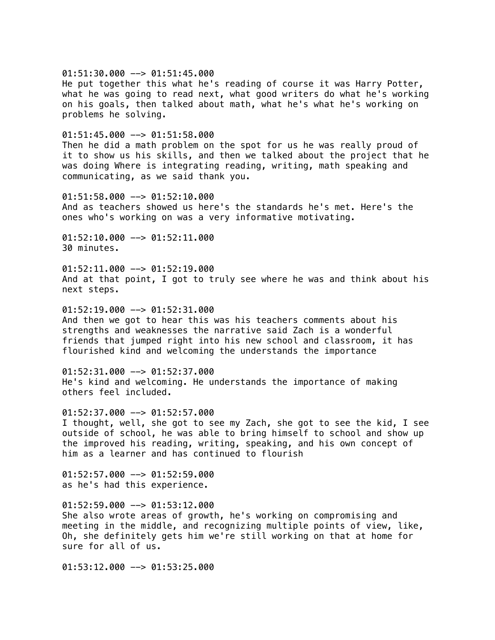$01:51:30.000$  -->  $01:51:45.000$ 

He put together this what he's reading of course it was Harry Potter, what he was going to read next, what good writers do what he's working on his goals, then talked about math, what he's what he's working on problems he solving.

 $01:51:45.000$  -->  $01:51:58.000$ 

Then he did a math problem on the spot for us he was really proud of it to show us his skills, and then we talked about the project that he was doing Where is integrating reading, writing, math speaking and communicating, as we said thank you.

01:51:58.000 --> 01:52:10.000 And as teachers showed us here's the standards he's met. Here's the ones who's working on was a very informative motivating.

01:52:10.000 --> 01:52:11.000 30 minutes.

 $01:52:11.000$  -->  $01:52:19.000$ And at that point, I got to truly see where he was and think about his next steps.

 $01:52:19.000$  -->  $01:52:31.000$ And then we got to hear this was his teachers comments about his strengths and weaknesses the narrative said Zach is a wonderful friends that jumped right into his new school and classroom, it has flourished kind and welcoming the understands the importance

01:52:31.000 --> 01:52:37.000 He's kind and welcoming. He understands the importance of making others feel included.

01:52:37.000 --> 01:52:57.000 I thought, well, she got to see my Zach, she got to see the kid, I see outside of school, he was able to bring himself to school and show up the improved his reading, writing, speaking, and his own concept of him as a learner and has continued to flourish

 $01:52:57.000$  -->  $01:52:59.000$ as he's had this experience.

 $01:52:59.000$  -->  $01:53:12.000$ She also wrote areas of growth, he's working on compromising and meeting in the middle, and recognizing multiple points of view, like, Oh, she definitely gets him we're still working on that at home for sure for all of us.

01:53:12.000 --> 01:53:25.000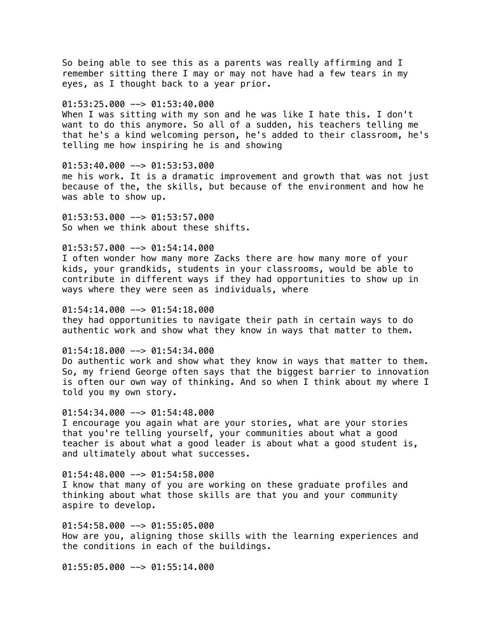So being able to see this as a parents was really affirming and I remember sitting there I may or may not have had a few tears in my eyes, as I thought back to a year prior.

 $01:53:25.000$  -->  $01:53:40.000$ 

When I was sitting with my son and he was like I hate this. I don't want to do this anymore. So all of a sudden, his teachers telling me that he's a kind welcoming person, he's added to their classroom, he's telling me how inspiring he is and showing

01:53:40.000 --> 01:53:53.000

me his work. It is a dramatic improvement and growth that was not just because of the, the skills, but because of the environment and how he was able to show up.

01:53:53.000 --> 01:53:57.000 So when we think about these shifts.

# $01:53:57.000$  -->  $01:54:14.000$

I often wonder how many more Zacks there are how many more of your kids, your grandkids, students in your classrooms, would be able to contribute in different ways if they had opportunities to show up in ways where they were seen as individuals, where

 $01:54:14.000$  -->  $01:54:18.000$ 

they had opportunities to navigate their path in certain ways to do authentic work and show what they know in ways that matter to them.

 $01:54:18.000$  -->  $01:54:34.000$ 

Do authentic work and show what they know in ways that matter to them. So, my friend George often says that the biggest barrier to innovation is often our own way of thinking. And so when I think about my where I told you my own story.

 $01:54:34.000$  -->  $01:54:48.000$ 

I encourage you again what are your stories, what are your stories that you're telling yourself, your communities about what a good teacher is about what a good leader is about what a good student is, and ultimately about what successes.

01:54:48.000 --> 01:54:58.000 I know that many of you are working on these graduate profiles and thinking about what those skills are that you and your community aspire to develop.

01:54:58.000 --> 01:55:05.000 How are you, aligning those skills with the learning experiences and the conditions in each of the buildings.

01:55:05.000 --> 01:55:14.000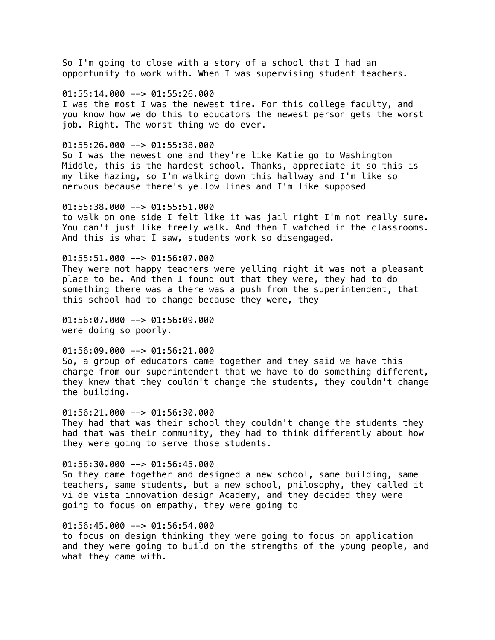So I'm going to close with a story of a school that I had an opportunity to work with. When I was supervising student teachers.

### $01:55:14.000$  -->  $01:55:26.000$

I was the most I was the newest tire. For this college faculty, and you know how we do this to educators the newest person gets the worst job. Right. The worst thing we do ever.

#### $01:55:26.000$  -->  $01:55:38.000$

So I was the newest one and they're like Katie go to Washington Middle, this is the hardest school. Thanks, appreciate it so this is my like hazing, so I'm walking down this hallway and I'm like so nervous because there's yellow lines and I'm like supposed

#### $01:55:38.000$  -->  $01:55:51.000$

to walk on one side I felt like it was jail right I'm not really sure. You can't just like freely walk. And then I watched in the classrooms. And this is what I saw, students work so disengaged.

# $01:55:51.000$  -->  $01:56:07.000$

They were not happy teachers were yelling right it was not a pleasant place to be. And then I found out that they were, they had to do something there was a there was a push from the superintendent, that this school had to change because they were, they

01:56:07.000 --> 01:56:09.000 were doing so poorly.

# 01:56:09.000 --> 01:56:21.000

So, a group of educators came together and they said we have this charge from our superintendent that we have to do something different, they knew that they couldn't change the students, they couldn't change the building.

# 01:56:21.000 --> 01:56:30.000

They had that was their school they couldn't change the students they had that was their community, they had to think differently about how they were going to serve those students.

# 01:56:30.000 --> 01:56:45.000

So they came together and designed a new school, same building, same teachers, same students, but a new school, philosophy, they called it vi de vista innovation design Academy, and they decided they were going to focus on empathy, they were going to

# 01:56:45.000 --> 01:56:54.000

to focus on design thinking they were going to focus on application and they were going to build on the strengths of the young people, and what they came with.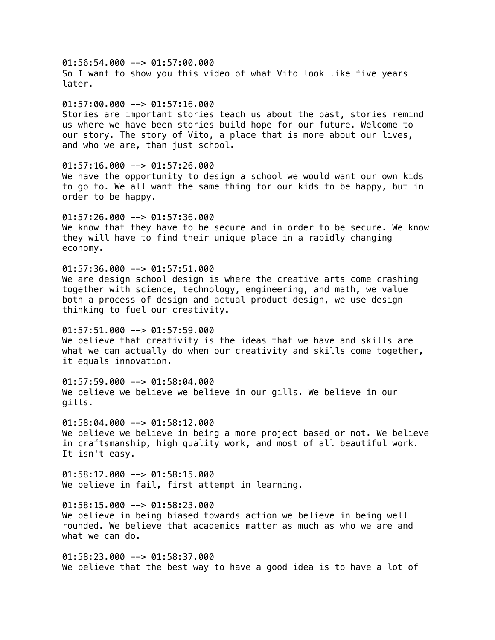$01:56:54.000$  -->  $01:57:00.000$ So I want to show you this video of what Vito look like five years later.  $01:57:00.000$  -->  $01:57:16.000$ Stories are important stories teach us about the past, stories remind us where we have been stories build hope for our future. Welcome to our story. The story of Vito, a place that is more about our lives, and who we are, than just school.  $01:57:16.000$  -->  $01:57:26.000$ We have the opportunity to design a school we would want our own kids to go to. We all want the same thing for our kids to be happy, but in order to be happy. 01:57:26.000 --> 01:57:36.000 We know that they have to be secure and in order to be secure. We know they will have to find their unique place in a rapidly changing economy.  $01:57:36.000$  -->  $01:57:51.000$ We are design school design is where the creative arts come crashing together with science, technology, engineering, and math, we value both a process of design and actual product design, we use design thinking to fuel our creativity.  $01:57:51.000$  -->  $01:57:59.000$ We believe that creativity is the ideas that we have and skills are what we can actually do when our creativity and skills come together, it equals innovation. 01:57:59.000 --> 01:58:04.000 We believe we believe we believe in our gills. We believe in our gills.  $01:58:04.000$  -->  $01:58:12.000$ We believe we believe in being a more project based or not. We believe in craftsmanship, high quality work, and most of all beautiful work. It isn't easy. 01:58:12.000 --> 01:58:15.000 We believe in fail, first attempt in learning.  $01:58:15.000$  -->  $01:58:23.000$ We believe in being biased towards action we believe in being well rounded. We believe that academics matter as much as who we are and what we can do.  $01:58:23.000$  -->  $01:58:37.000$ We believe that the best way to have a good idea is to have a lot of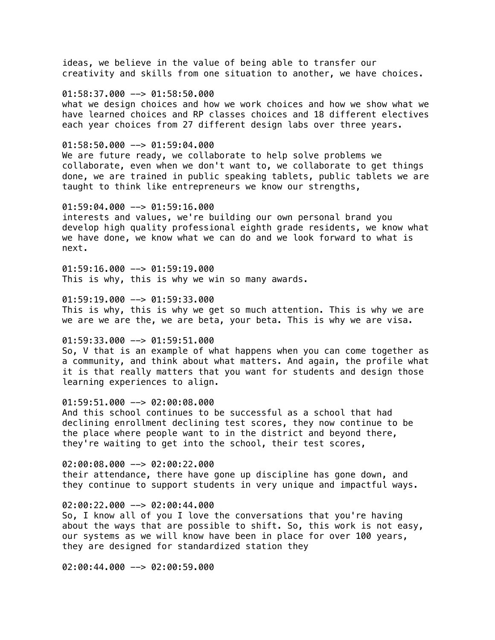ideas, we believe in the value of being able to transfer our creativity and skills from one situation to another, we have choices.

#### 01:58:37.000 --> 01:58:50.000

what we design choices and how we work choices and how we show what we have learned choices and RP classes choices and 18 different electives each year choices from 27 different design labs over three years.

#### 01:58:50.000 --> 01:59:04.000

We are future ready, we collaborate to help solve problems we collaborate, even when we don't want to, we collaborate to get things done, we are trained in public speaking tablets, public tablets we are taught to think like entrepreneurs we know our strengths,

#### 01:59:04.000 --> 01:59:16.000

interests and values, we're building our own personal brand you develop high quality professional eighth grade residents, we know what we have done, we know what we can do and we look forward to what is next.

 $01:59:16.000$  -->  $01:59:19.000$ This is why, this is why we win so many awards.

 $01:59:19.000$  -->  $01:59:33.000$ This is why, this is why we get so much attention. This is why we are we are we are the, we are beta, your beta. This is why we are visa.

#### $01:59:33.000$  -->  $01:59:51.000$

So, V that is an example of what happens when you can come together as a community, and think about what matters. And again, the profile what it is that really matters that you want for students and design those learning experiences to align.

# 01:59:51.000 --> 02:00:08.000

And this school continues to be successful as a school that had declining enrollment declining test scores, they now continue to be the place where people want to in the district and beyond there, they're waiting to get into the school, their test scores,

02:00:08.000 --> 02:00:22.000 their attendance, there have gone up discipline has gone down, and they continue to support students in very unique and impactful ways.

#### 02:00:22.000 --> 02:00:44.000

So, I know all of you I love the conversations that you're having about the ways that are possible to shift. So, this work is not easy, our systems as we will know have been in place for over 100 years, they are designed for standardized station they

02:00:44.000 --> 02:00:59.000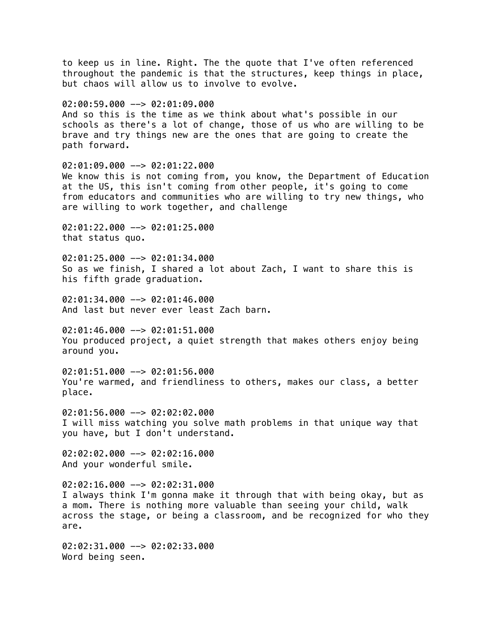to keep us in line. Right. The the quote that I've often referenced throughout the pandemic is that the structures, keep things in place, but chaos will allow us to involve to evolve.  $02:00:59.000$  -->  $02:01:09.000$ And so this is the time as we think about what's possible in our schools as there's a lot of change, those of us who are willing to be brave and try things new are the ones that are going to create the path forward.  $02:01:09.000$  -->  $02:01:22.000$ We know this is not coming from, you know, the Department of Education at the US, this isn't coming from other people, it's going to come from educators and communities who are willing to try new things, who are willing to work together, and challenge 02:01:22.000 --> 02:01:25.000 that status quo.  $02:01:25.000$  -->  $02:01:34.000$ So as we finish, I shared a lot about Zach, I want to share this is his fifth grade graduation.  $02:01:34.000$  -->  $02:01:46.000$ And last but never ever least Zach barn.  $02:01:46.000$  -->  $02:01:51.000$ You produced project, a quiet strength that makes others enjoy being around you. 02:01:51.000 --> 02:01:56.000 You're warmed, and friendliness to others, makes our class, a better place. 02:01:56.000 --> 02:02:02.000 I will miss watching you solve math problems in that unique way that you have, but I don't understand. 02:02:02.000 --> 02:02:16.000 And your wonderful smile.  $02:02:16.000$  -->  $02:02:31.000$ I always think I'm gonna make it through that with being okay, but as a mom. There is nothing more valuable than seeing your child, walk across the stage, or being a classroom, and be recognized for who they are. 02:02:31.000 --> 02:02:33.000 Word being seen.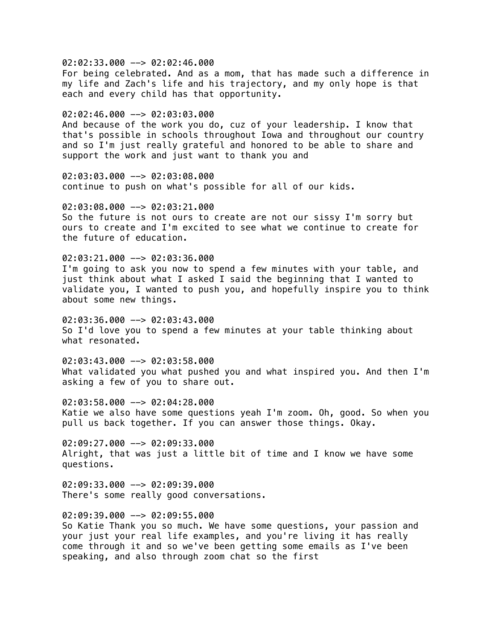02:02:33.000 --> 02:02:46.000 For being celebrated. And as a mom, that has made such a difference in my life and Zach's life and his trajectory, and my only hope is that each and every child has that opportunity.

02:02:46.000 --> 02:03:03.000 And because of the work you do, cuz of your leadership. I know that that's possible in schools throughout Iowa and throughout our country and so I'm just really grateful and honored to be able to share and support the work and just want to thank you and

02:03:03.000 --> 02:03:08.000 continue to push on what's possible for all of our kids.

 $02:03:08.000$  -->  $02:03:21.000$ So the future is not ours to create are not our sissy I'm sorry but ours to create and I'm excited to see what we continue to create for the future of education.

 $02:03:21.000$  -->  $02:03:36.000$ I'm going to ask you now to spend a few minutes with your table, and just think about what I asked I said the beginning that I wanted to validate you, I wanted to push you, and hopefully inspire you to think about some new things.

 $02:03:36.000$  -->  $02:03:43.000$ So I'd love you to spend a few minutes at your table thinking about what resonated.

 $02:03:43.000$  -->  $02:03:58.000$ What validated you what pushed you and what inspired you. And then I'm asking a few of you to share out.

02:03:58.000 --> 02:04:28.000 Katie we also have some questions yeah I'm zoom. Oh, good. So when you pull us back together. If you can answer those things. Okay.

02:09:27.000 --> 02:09:33.000 Alright, that was just a little bit of time and I know we have some questions.

 $02:09:33.000$  -->  $02:09:39.000$ There's some really good conversations.

02:09:39.000 --> 02:09:55.000 So Katie Thank you so much. We have some questions, your passion and your just your real life examples, and you're living it has really come through it and so we've been getting some emails as I've been speaking, and also through zoom chat so the first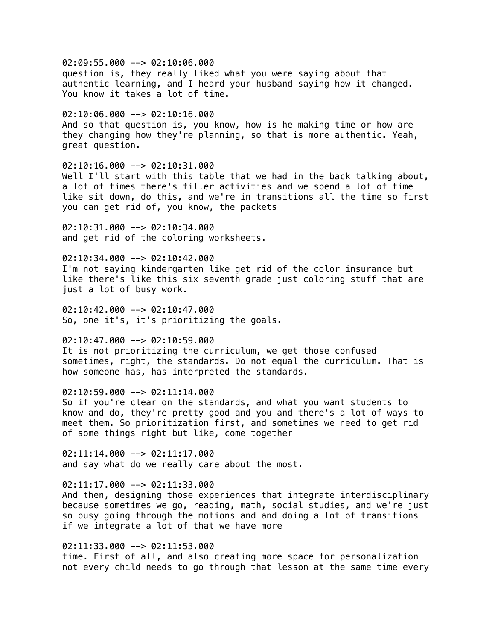02:09:55.000 --> 02:10:06.000 question is, they really liked what you were saying about that authentic learning, and I heard your husband saying how it changed. You know it takes a lot of time.

 $02:10:06.000$  -->  $02:10:16.000$ And so that question is, you know, how is he making time or how are they changing how they're planning, so that is more authentic. Yeah, great question.

02:10:16.000 --> 02:10:31.000 Well I'll start with this table that we had in the back talking about, a lot of times there's filler activities and we spend a lot of time like sit down, do this, and we're in transitions all the time so first you can get rid of, you know, the packets

02:10:31.000 --> 02:10:34.000 and get rid of the coloring worksheets.

 $02:10:34.000$  -->  $02:10:42.000$ I'm not saying kindergarten like get rid of the color insurance but like there's like this six seventh grade just coloring stuff that are just a lot of busy work.

 $02:10:42.000$  -->  $02:10:47.000$ So, one it's, it's prioritizing the goals.

 $02:10:47.000$  -->  $02:10:59.000$ It is not prioritizing the curriculum, we get those confused sometimes, right, the standards. Do not equal the curriculum. That is how someone has, has interpreted the standards.

 $02:10:59.000$  -->  $02:11:14.000$ So if you're clear on the standards, and what you want students to know and do, they're pretty good and you and there's a lot of ways to meet them. So prioritization first, and sometimes we need to get rid of some things right but like, come together

 $02:11:14.000$  -->  $02:11:17.000$ and say what do we really care about the most.

 $02:11:17.000$  -->  $02:11:33.000$ 

And then, designing those experiences that integrate interdisciplinary because sometimes we go, reading, math, social studies, and we're just so busy going through the motions and and doing a lot of transitions if we integrate a lot of that we have more

02:11:33.000 --> 02:11:53.000 time. First of all, and also creating more space for personalization not every child needs to go through that lesson at the same time every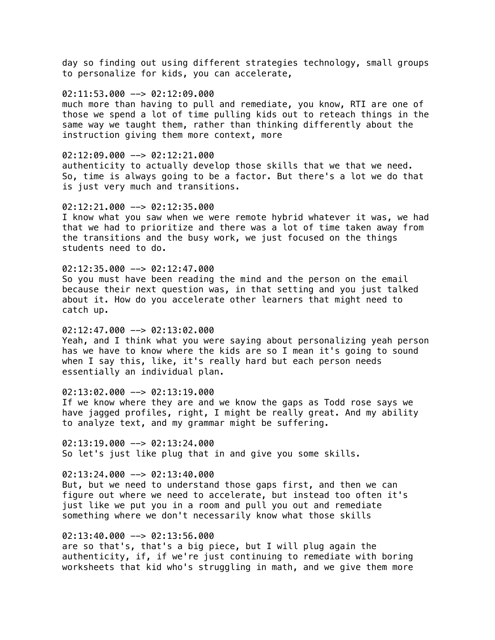day so finding out using different strategies technology, small groups to personalize for kids, you can accelerate,

# $02:11:53.000$  -->  $02:12:09.000$

much more than having to pull and remediate, you know, RTI are one of those we spend a lot of time pulling kids out to reteach things in the same way we taught them, rather than thinking differently about the instruction giving them more context, more

### $02:12:09.000$  -->  $02:12:21.000$

authenticity to actually develop those skills that we that we need. So, time is always going to be a factor. But there's a lot we do that is just very much and transitions.

#### $02:12:21.000$  -->  $02:12:35.000$

I know what you saw when we were remote hybrid whatever it was, we had that we had to prioritize and there was a lot of time taken away from the transitions and the busy work, we just focused on the things students need to do.

### $02:12:35.000$  -->  $02:12:47.000$

So you must have been reading the mind and the person on the email because their next question was, in that setting and you just talked about it. How do you accelerate other learners that might need to catch up.

# $02:12:47.000$  -->  $02:13:02.000$

Yeah, and I think what you were saying about personalizing yeah person has we have to know where the kids are so I mean it's going to sound when I say this, like, it's really hard but each person needs essentially an individual plan.

# $02:13:02.000$  -->  $02:13:19.000$

If we know where they are and we know the gaps as Todd rose says we have jagged profiles, right, I might be really great. And my ability to analyze text, and my grammar might be suffering.

 $02:13:19.000$  -->  $02:13:24.000$ So let's just like plug that in and give you some skills.

### $02:13:24.000$  -->  $02:13:40.000$

But, but we need to understand those gaps first, and then we can figure out where we need to accelerate, but instead too often it's just like we put you in a room and pull you out and remediate something where we don't necessarily know what those skills

# 02:13:40.000 --> 02:13:56.000

are so that's, that's a big piece, but I will plug again the authenticity, if, if we're just continuing to remediate with boring worksheets that kid who's struggling in math, and we give them more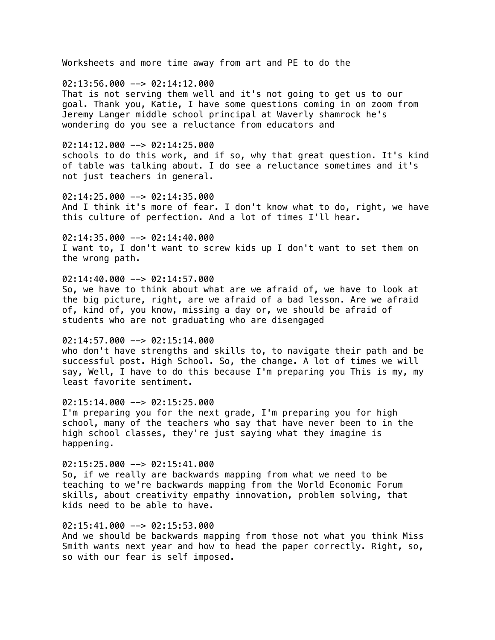Worksheets and more time away from art and PE to do the

 $02:13:56.000$  -->  $02:14:12.000$ That is not serving them well and it's not going to get us to our goal. Thank you, Katie, I have some questions coming in on zoom from Jeremy Langer middle school principal at Waverly shamrock he's wondering do you see a reluctance from educators and

### $02:14:12.000$  -->  $02:14:25.000$

schools to do this work, and if so, why that great question. It's kind of table was talking about. I do see a reluctance sometimes and it's not just teachers in general.

02:14:25.000 --> 02:14:35.000 And I think it's more of fear. I don't know what to do, right, we have this culture of perfection. And a lot of times I'll hear.

 $02:14:35.000$  -->  $02:14:40.000$ I want to, I don't want to screw kids up I don't want to set them on the wrong path.

# $02:14:40.000$  -->  $02:14:57.000$

So, we have to think about what are we afraid of, we have to look at the big picture, right, are we afraid of a bad lesson. Are we afraid of, kind of, you know, missing a day or, we should be afraid of students who are not graduating who are disengaged

#### $02:14:57.000$  -->  $02:15:14.000$

who don't have strengths and skills to, to navigate their path and be successful post. High School. So, the change. A lot of times we will say, Well, I have to do this because I'm preparing you This is my, my least favorite sentiment.

# $02:15:14.000$  -->  $02:15:25.000$

I'm preparing you for the next grade, I'm preparing you for high school, many of the teachers who say that have never been to in the high school classes, they're just saying what they imagine is happening.

 $02:15:25.000$  -->  $02:15:41.000$ 

So, if we really are backwards mapping from what we need to be teaching to we're backwards mapping from the World Economic Forum skills, about creativity empathy innovation, problem solving, that kids need to be able to have.

# 02:15:41.000 --> 02:15:53.000

And we should be backwards mapping from those not what you think Miss Smith wants next year and how to head the paper correctly. Right, so, so with our fear is self imposed.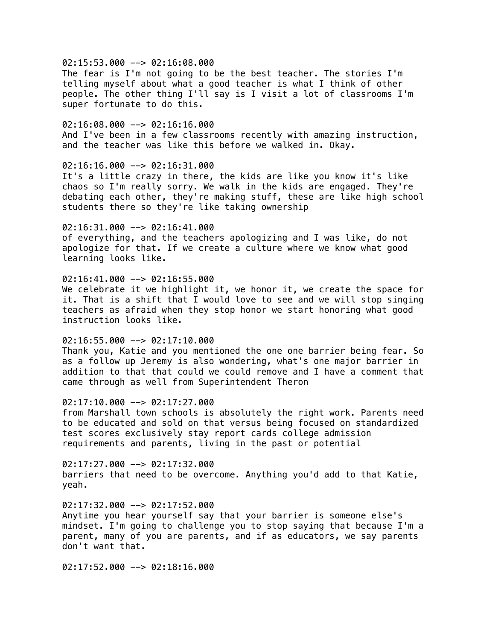# 02:15:53.000 --> 02:16:08.000

The fear is I'm not going to be the best teacher. The stories I'm telling myself about what a good teacher is what I think of other people. The other thing I'll say is I visit a lot of classrooms I'm super fortunate to do this.

# $02:16:08.000$  -->  $02:16:16.000$

And I've been in a few classrooms recently with amazing instruction, and the teacher was like this before we walked in. Okay.

# $02:16:16.000$  -->  $02:16:31.000$

It's a little crazy in there, the kids are like you know it's like chaos so I'm really sorry. We walk in the kids are engaged. They're debating each other, they're making stuff, these are like high school students there so they're like taking ownership

# 02:16:31.000 --> 02:16:41.000

of everything, and the teachers apologizing and I was like, do not apologize for that. If we create a culture where we know what good learning looks like.

# $02:16:41.000$  -->  $02:16:55.000$

We celebrate it we highlight it, we honor it, we create the space for it. That is a shift that I would love to see and we will stop singing teachers as afraid when they stop honor we start honoring what good instruction looks like.

#### $02:16:55.000$  -->  $02:17:10.000$

Thank you, Katie and you mentioned the one one barrier being fear. So as a follow up Jeremy is also wondering, what's one major barrier in addition to that that could we could remove and I have a comment that came through as well from Superintendent Theron

# $02:17:10.000$  -->  $02:17:27.000$

from Marshall town schools is absolutely the right work. Parents need to be educated and sold on that versus being focused on standardized test scores exclusively stay report cards college admission requirements and parents, living in the past or potential

 $02:17:27.000$  -->  $02:17:32.000$ barriers that need to be overcome. Anything you'd add to that Katie, yeah.

### $02:17:32.000$  -->  $02:17:52.000$

Anytime you hear yourself say that your barrier is someone else's mindset. I'm going to challenge you to stop saying that because I'm a parent, many of you are parents, and if as educators, we say parents don't want that.

02:17:52.000 --> 02:18:16.000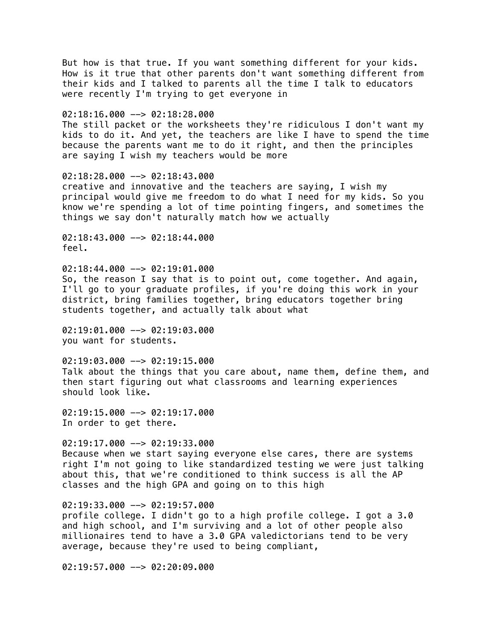But how is that true. If you want something different for your kids. How is it true that other parents don't want something different from their kids and I talked to parents all the time I talk to educators were recently I'm trying to get everyone in 02:18:16.000 --> 02:18:28.000 The still packet or the worksheets they're ridiculous I don't want my kids to do it. And yet, the teachers are like I have to spend the time because the parents want me to do it right, and then the principles are saying I wish my teachers would be more 02:18:28.000 --> 02:18:43.000 creative and innovative and the teachers are saying, I wish my principal would give me freedom to do what I need for my kids. So you know we're spending a lot of time pointing fingers, and sometimes the things we say don't naturally match how we actually  $02:18:43.000$  -->  $02:18:44.000$ feel.  $02:18:44.000$  -->  $02:19:01.000$ So, the reason I say that is to point out, come together. And again, I'll go to your graduate profiles, if you're doing this work in your district, bring families together, bring educators together bring students together, and actually talk about what  $02:19:01.000$  -->  $02:19:03.000$ you want for students.  $02:19:03.000$  -->  $02:19:15.000$ Talk about the things that you care about, name them, define them, and then start figuring out what classrooms and learning experiences should look like.  $02:19:15.000$  -->  $02:19:17.000$ In order to get there.  $02:19:17.000$  -->  $02:19:33.000$ Because when we start saying everyone else cares, there are systems right I'm not going to like standardized testing we were just talking about this, that we're conditioned to think success is all the AP classes and the high GPA and going on to this high 02:19:33.000 --> 02:19:57.000 profile college. I didn't go to a high profile college. I got a 3.0 and high school, and I'm surviving and a lot of other people also millionaires tend to have a 3.0 GPA valedictorians tend to be very average, because they're used to being compliant,

02:19:57.000 --> 02:20:09.000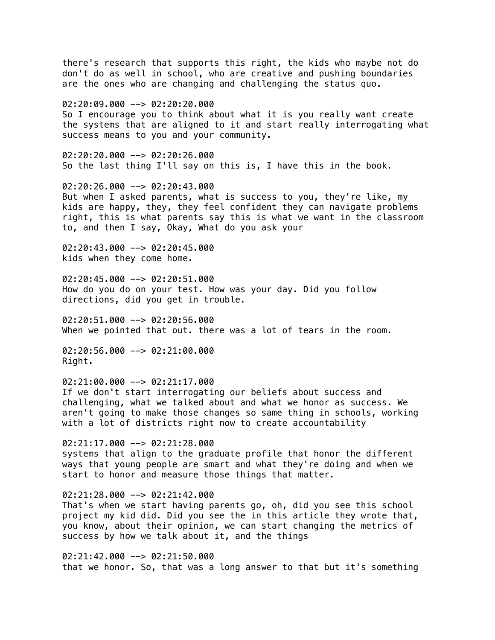there's research that supports this right, the kids who maybe not do don't do as well in school, who are creative and pushing boundaries are the ones who are changing and challenging the status quo.

02:20:09.000 --> 02:20:20.000

So I encourage you to think about what it is you really want create the systems that are aligned to it and start really interrogating what success means to you and your community.

02:20:20.000 --> 02:20:26.000 So the last thing I'll say on this is, I have this in the book.

02:20:26.000 --> 02:20:43.000 But when I asked parents, what is success to you, they're like, my kids are happy, they, they feel confident they can navigate problems right, this is what parents say this is what we want in the classroom to, and then I say, Okay, What do you ask your

02:20:43.000 --> 02:20:45.000 kids when they come home.

 $02:20:45.000$  -->  $02:20:51.000$ How do you do on your test. How was your day. Did you follow directions, did you get in trouble.

 $02:20:51.000$  -->  $02:20:56.000$ When we pointed that out. there was a lot of tears in the room.

02:20:56.000 --> 02:21:00.000 Right.

02:21:00.000 --> 02:21:17.000

If we don't start interrogating our beliefs about success and challenging, what we talked about and what we honor as success. We aren't going to make those changes so same thing in schools, working with a lot of districts right now to create accountability

 $02:21:17.000$  -->  $02:21:28.000$ systems that align to the graduate profile that honor the different ways that young people are smart and what they're doing and when we start to honor and measure those things that matter.

#### 02:21:28.000 --> 02:21:42.000

That's when we start having parents go, oh, did you see this school project my kid did. Did you see the in this article they wrote that, you know, about their opinion, we can start changing the metrics of success by how we talk about it, and the things

02:21:42.000 --> 02:21:50.000 that we honor. So, that was a long answer to that but it's something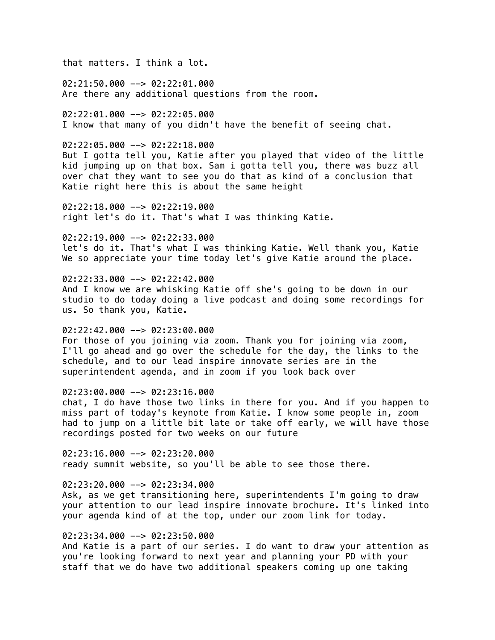that matters. I think a lot.

 $02:21:50.000$  -->  $02:22:01.000$ Are there any additional questions from the room.

02:22:01.000 --> 02:22:05.000 I know that many of you didn't have the benefit of seeing chat.

 $02:22:05.000$  -->  $02:22:18.000$ 

But I gotta tell you, Katie after you played that video of the little kid jumping up on that box. Sam i gotta tell you, there was buzz all over chat they want to see you do that as kind of a conclusion that Katie right here this is about the same height

02:22:18.000 --> 02:22:19.000 right let's do it. That's what I was thinking Katie.

02:22:19.000 --> 02:22:33.000 let's do it. That's what I was thinking Katie. Well thank you, Katie We so appreciate your time today let's give Katie around the place.

# $02:22:33.000$  -->  $02:22:42.000$

And I know we are whisking Katie off she's going to be down in our studio to do today doing a live podcast and doing some recordings for us. So thank you, Katie.

# $02:22:42.000$  -->  $02:23:00.000$

For those of you joining via zoom. Thank you for joining via zoom, I'll go ahead and go over the schedule for the day, the links to the schedule, and to our lead inspire innovate series are in the superintendent agenda, and in zoom if you look back over

## 02:23:00.000 --> 02:23:16.000

chat, I do have those two links in there for you. And if you happen to miss part of today's keynote from Katie. I know some people in, zoom had to jump on a little bit late or take off early, we will have those recordings posted for two weeks on our future

 $02:23:16.000$  -->  $02:23:20.000$ ready summit website, so you'll be able to see those there.

# $02:23:20.000$  -->  $02:23:34.000$

Ask, as we get transitioning here, superintendents I'm going to draw your attention to our lead inspire innovate brochure. It's linked into your agenda kind of at the top, under our zoom link for today.

# 02:23:34.000 --> 02:23:50.000

And Katie is a part of our series. I do want to draw your attention as you're looking forward to next year and planning your PD with your staff that we do have two additional speakers coming up one taking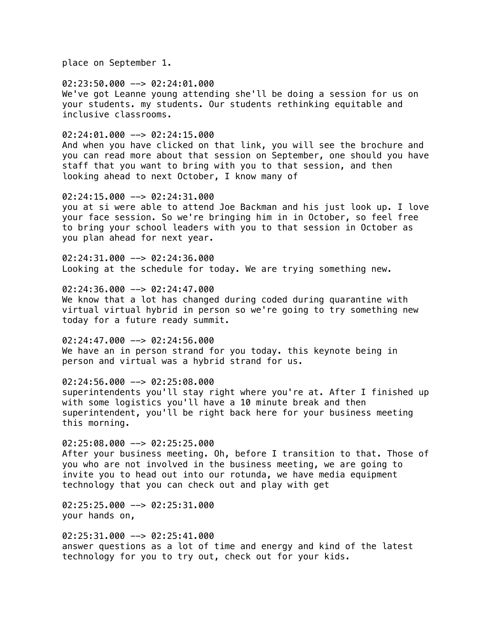place on September 1.

02:23:50.000 --> 02:24:01.000 We've got Leanne young attending she'll be doing a session for us on your students. my students. Our students rethinking equitable and inclusive classrooms.

 $02:24:01.000$  -->  $02:24:15.000$ 

And when you have clicked on that link, you will see the brochure and you can read more about that session on September, one should you have staff that you want to bring with you to that session, and then looking ahead to next October, I know many of

02:24:15.000 --> 02:24:31.000 you at si were able to attend Joe Backman and his just look up. I love your face session. So we're bringing him in in October, so feel free to bring your school leaders with you to that session in October as you plan ahead for next year.

 $02:24:31.000$  -->  $02:24:36.000$ Looking at the schedule for today. We are trying something new.

02:24:36.000 --> 02:24:47.000 We know that a lot has changed during coded during quarantine with virtual virtual hybrid in person so we're going to try something new today for a future ready summit.

 $02:24:47.000$  -->  $02:24:56.000$ We have an in person strand for you today. this keynote being in person and virtual was a hybrid strand for us.

02:24:56.000 --> 02:25:08.000 superintendents you'll stay right where you're at. After I finished up with some logistics you'll have a 10 minute break and then superintendent, you'll be right back here for your business meeting this morning.

02:25:08.000 --> 02:25:25.000 After your business meeting. Oh, before I transition to that. Those of you who are not involved in the business meeting, we are going to invite you to head out into our rotunda, we have media equipment technology that you can check out and play with get

02:25:25.000 --> 02:25:31.000 your hands on,

02:25:31.000 --> 02:25:41.000 answer questions as a lot of time and energy and kind of the latest technology for you to try out, check out for your kids.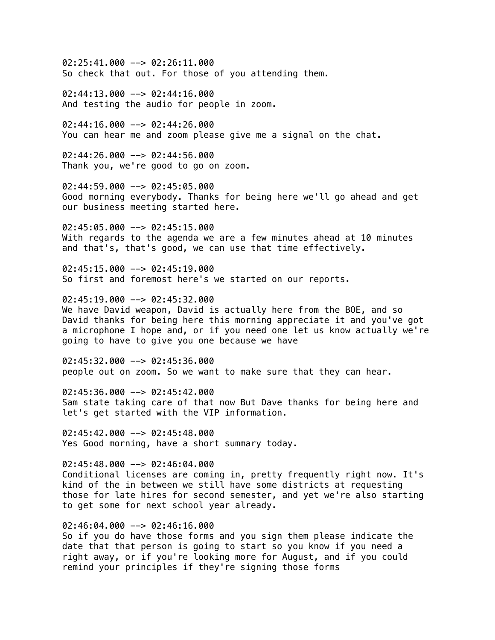02:25:41.000 --> 02:26:11.000 So check that out. For those of you attending them.

 $02:44:13.000$  -->  $02:44:16.000$ And testing the audio for people in zoom.

 $02:44:16.000$  -->  $02:44:26.000$ You can hear me and zoom please give me a signal on the chat.

 $02:44:26.000$  -->  $02:44:56.000$ Thank you, we're good to go on zoom.

02:44:59.000 --> 02:45:05.000 Good morning everybody. Thanks for being here we'll go ahead and get our business meeting started here.

02:45:05.000 --> 02:45:15.000 With regards to the agenda we are a few minutes ahead at 10 minutes and that's, that's good, we can use that time effectively.

 $02:45:15.000$  -->  $02:45:19.000$ So first and foremost here's we started on our reports.

 $02:45:19.000$  -->  $02:45:32.000$ We have David weapon, David is actually here from the BOE, and so David thanks for being here this morning appreciate it and you've got a microphone I hope and, or if you need one let us know actually we're going to have to give you one because we have

 $02:45:32.000$  -->  $02:45:36.000$ people out on zoom. So we want to make sure that they can hear.

 $02:45:36.000$  -->  $02:45:42.000$ Sam state taking care of that now But Dave thanks for being here and let's get started with the VIP information.

 $02:45:42.000$  -->  $02:45:48.000$ Yes Good morning, have a short summary today.

02:45:48.000 --> 02:46:04.000 Conditional licenses are coming in, pretty frequently right now. It's kind of the in between we still have some districts at requesting those for late hires for second semester, and yet we're also starting to get some for next school year already.

# 02:46:04.000 --> 02:46:16.000

So if you do have those forms and you sign them please indicate the date that that person is going to start so you know if you need a right away, or if you're looking more for August, and if you could remind your principles if they're signing those forms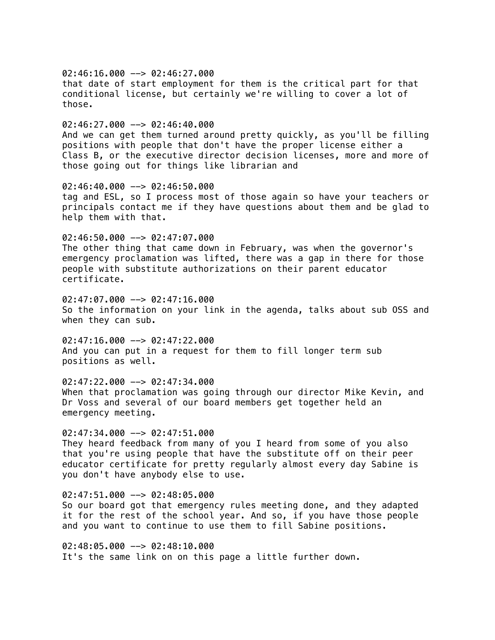$02:46:16.000$  -->  $02:46:27.000$ that date of start employment for them is the critical part for that conditional license, but certainly we're willing to cover a lot of those.  $02:46:27.000$  -->  $02:46:40.000$ And we can get them turned around pretty quickly, as you'll be filling positions with people that don't have the proper license either a Class B, or the executive director decision licenses, more and more of those going out for things like librarian and 02:46:40.000 --> 02:46:50.000 tag and ESL, so I process most of those again so have your teachers or principals contact me if they have questions about them and be glad to help them with that. 02:46:50.000 --> 02:47:07.000 The other thing that came down in February, was when the governor's emergency proclamation was lifted, there was a gap in there for those people with substitute authorizations on their parent educator certificate.  $02:47:07.000$   $\rightarrow$  02:47:16.000 So the information on your link in the agenda, talks about sub OSS and when they can sub.  $02:47:16.000$  -->  $02:47:22.000$ And you can put in a request for them to fill longer term sub positions as well.

02:47:22.000 --> 02:47:34.000 When that proclamation was going through our director Mike Kevin, and Dr Voss and several of our board members get together held an emergency meeting.

 $02:47:34.000$  -->  $02:47:51.000$ They heard feedback from many of you I heard from some of you also that you're using people that have the substitute off on their peer educator certificate for pretty regularly almost every day Sabine is you don't have anybody else to use.

 $02:47:51.000$  -->  $02:48:05.000$ So our board got that emergency rules meeting done, and they adapted it for the rest of the school year. And so, if you have those people and you want to continue to use them to fill Sabine positions.

02:48:05.000 --> 02:48:10.000 It's the same link on on this page a little further down.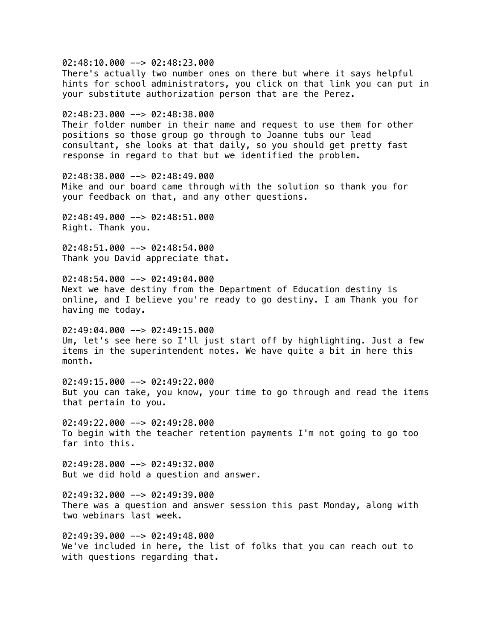02:48:10.000 --> 02:48:23.000 There's actually two number ones on there but where it says helpful hints for school administrators, you click on that link you can put in your substitute authorization person that are the Perez. 02:48:23.000 --> 02:48:38.000 Their folder number in their name and request to use them for other positions so those group go through to Joanne tubs our lead consultant, she looks at that daily, so you should get pretty fast response in regard to that but we identified the problem. 02:48:38.000 --> 02:48:49.000 Mike and our board came through with the solution so thank you for your feedback on that, and any other questions. 02:48:49.000 --> 02:48:51.000 Right. Thank you. 02:48:51.000 --> 02:48:54.000 Thank you David appreciate that.  $02:48:54.000$  -->  $02:49:04.000$ Next we have destiny from the Department of Education destiny is online, and I believe you're ready to go destiny. I am Thank you for having me today.  $02:49:04.000$  -->  $02:49:15.000$ Um, let's see here so I'll just start off by highlighting. Just a few items in the superintendent notes. We have quite a bit in here this month.  $02:49:15.000$  -->  $02:49:22.000$ But you can take, you know, your time to go through and read the items that pertain to you. 02:49:22.000 --> 02:49:28.000 To begin with the teacher retention payments I'm not going to go too far into this.  $02:49:28.000$  -->  $02:49:32.000$ But we did hold a question and answer. 02:49:32.000 --> 02:49:39.000 There was a question and answer session this past Monday, along with two webinars last week. 02:49:39.000 --> 02:49:48.000 We've included in here, the list of folks that you can reach out to with questions regarding that.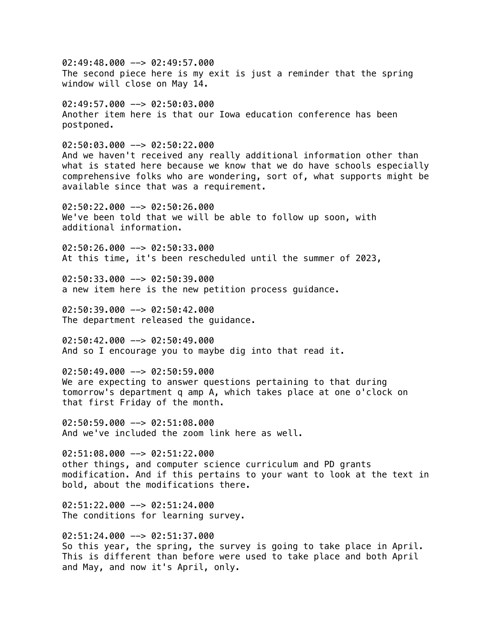$02:49:48.000$  -->  $02:49:57.000$ The second piece here is my exit is just a reminder that the spring window will close on May 14.  $02:49:57.000$  -->  $02:50:03.000$ Another item here is that our Iowa education conference has been postponed.  $02:50:03.000$  -->  $02:50:22.000$ And we haven't received any really additional information other than what is stated here because we know that we do have schools especially comprehensive folks who are wondering, sort of, what supports might be available since that was a requirement.  $02:50:22.000$  -->  $02:50:26.000$ We've been told that we will be able to follow up soon, with additional information. 02:50:26.000 --> 02:50:33.000 At this time, it's been rescheduled until the summer of 2023,  $02:50:33.000$  -->  $02:50:39.000$ a new item here is the new petition process guidance.  $02:50:39.000$   $\rightarrow$  02:50:42.000 The department released the guidance.  $02:50:42.000$  -->  $02:50:49.000$ And so I encourage you to maybe dig into that read it. 02:50:49.000 --> 02:50:59.000 We are expecting to answer questions pertaining to that during tomorrow's department q amp A, which takes place at one o'clock on that first Friday of the month. 02:50:59.000 --> 02:51:08.000

And we've included the zoom link here as well.

 $02:51:08.000$  -->  $02:51:22.000$ other things, and computer science curriculum and PD grants modification. And if this pertains to your want to look at the text in bold, about the modifications there.

02:51:22.000 --> 02:51:24.000 The conditions for learning survey.

02:51:24.000 --> 02:51:37.000 So this year, the spring, the survey is going to take place in April. This is different than before were used to take place and both April and May, and now it's April, only.